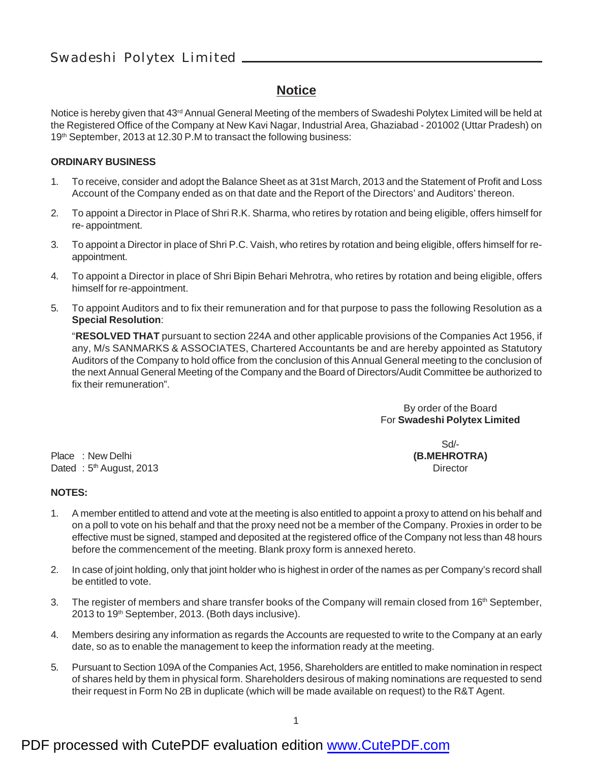#### **Notice**

Notice is hereby given that 43<sup>rd</sup> Annual General Meeting of the members of Swadeshi Polytex Limited will be held at the Registered Office of the Company at New Kavi Nagar, Industrial Area, Ghaziabad - 201002 (Uttar Pradesh) on 19th September, 2013 at 12.30 P.M to transact the following business:

#### **ORDINARY BUSINESS**

- 1. To receive, consider and adopt the Balance Sheet as at 31st March, 2013 and the Statement of Profit and Loss Account of the Company ended as on that date and the Report of the Directors' and Auditors' thereon.
- 2. To appoint a Director in Place of Shri R.K. Sharma, who retires by rotation and being eligible, offers himself for re- appointment.
- 3. To appoint a Director in place of Shri P.C. Vaish, who retires by rotation and being eligible, offers himself for reappointment.
- 4. To appoint a Director in place of Shri Bipin Behari Mehrotra, who retires by rotation and being eligible, offers himself for re-appointment.
- 5. To appoint Auditors and to fix their remuneration and for that purpose to pass the following Resolution as a **Special Resolution**:

"**RESOLVED THAT** pursuant to section 224A and other applicable provisions of the Companies Act 1956, if any, M/s SANMARKS & ASSOCIATES, Chartered Accountants be and are hereby appointed as Statutory Auditors of the Company to hold office from the conclusion of this Annual General meeting to the conclusion of the next Annual General Meeting of the Company and the Board of Directors/Audit Committee be authorized to fix their remuneration".

> By order of the Board For **Swadeshi Polytex Limited**

Place : New Delhi **(B.MEHROTRA)** Dated : 5<sup>th</sup> August, 2013 **Director Director Director** 

# Sd/-

#### **NOTES:**

- 1. A member entitled to attend and vote at the meeting is also entitled to appoint a proxy to attend on his behalf and on a poll to vote on his behalf and that the proxy need not be a member of the Company. Proxies in order to be effective must be signed, stamped and deposited at the registered office of the Company not less than 48 hours before the commencement of the meeting. Blank proxy form is annexed hereto.
- 2. In case of joint holding, only that joint holder who is highest in order of the names as per Company's record shall be entitled to vote.
- 3. The register of members and share transfer books of the Company will remain closed from 16<sup>th</sup> September, 2013 to 19th September, 2013. (Both days inclusive).
- 4. Members desiring any information as regards the Accounts are requested to write to the Company at an early date, so as to enable the management to keep the information ready at the meeting.
- 5. Pursuant to Section 109A of the Companies Act, 1956, Shareholders are entitled to make nomination in respect of shares held by them in physical form. Shareholders desirous of making nominations are requested to send their request in Form No 2B in duplicate (which will be made available on request) to the R&T Agent.

### PDF processed with CutePDF evaluation edition [www.CutePDF.com](http://www.cutepdf.com)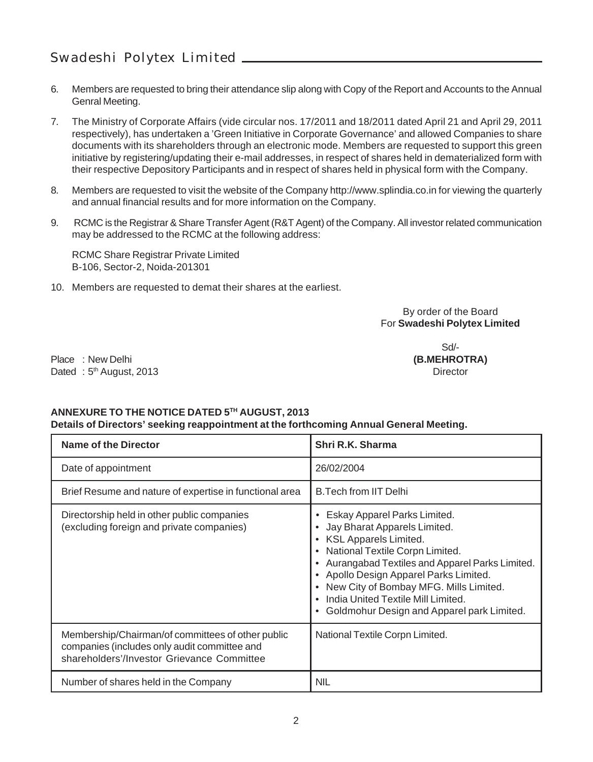- 6. Members are requested to bring their attendance slip along with Copy of the Report and Accounts to the Annual Genral Meeting.
- 7. The Ministry of Corporate Affairs (vide circular nos. 17/2011 and 18/2011 dated April 21 and April 29, 2011 respectively), has undertaken a 'Green Initiative in Corporate Governance' and allowed Companies to share documents with its shareholders through an electronic mode. Members are requested to support this green initiative by registering/updating their e-mail addresses, in respect of shares held in dematerialized form with their respective Depository Participants and in respect of shares held in physical form with the Company.
- 8. Members are requested to visit the website of the Company http://www.splindia.co.in for viewing the quarterly and annual financial results and for more information on the Company.
- 9. RCMC is the Registrar & Share Transfer Agent (R&T Agent) of the Company. All investor related communication may be addressed to the RCMC at the following address:

RCMC Share Registrar Private Limited B-106, Sector-2, Noida-201301

10. Members are requested to demat their shares at the earliest.

By order of the Board For **Swadeshi Polytex Limited**

Place : New Delhi **(B.MEHROTRA)** Dated : 5<sup>th</sup> August, 2013 **Director Director Director** 

Sd/-

#### **ANNEXURE TO THE NOTICE DATED 5TH AUGUST, 2013 Details of Directors' seeking reappointment at the forthcoming Annual General Meeting.**

| <b>Name of the Director</b>                                                                                                                     | Shri R.K. Sharma                                                                                                                                                                                                                                                                                                                                        |
|-------------------------------------------------------------------------------------------------------------------------------------------------|---------------------------------------------------------------------------------------------------------------------------------------------------------------------------------------------------------------------------------------------------------------------------------------------------------------------------------------------------------|
| Date of appointment                                                                                                                             | 26/02/2004                                                                                                                                                                                                                                                                                                                                              |
| Brief Resume and nature of expertise in functional area                                                                                         | <b>B.Tech from IIT Delhi</b>                                                                                                                                                                                                                                                                                                                            |
| Directorship held in other public companies<br>(excluding foreign and private companies)                                                        | Eskay Apparel Parks Limited.<br>Jay Bharat Apparels Limited.<br><b>KSL Apparels Limited.</b><br>National Textile Corpn Limited.<br>Aurangabad Textiles and Apparel Parks Limited.<br>Apollo Design Apparel Parks Limited.<br>New City of Bombay MFG. Mills Limited.<br>India United Textile Mill Limited.<br>Goldmohur Design and Apparel park Limited. |
| Membership/Chairman/of committees of other public<br>companies (includes only audit committee and<br>shareholders'/Investor Grievance Committee | National Textile Corpn Limited.                                                                                                                                                                                                                                                                                                                         |
| Number of shares held in the Company                                                                                                            | <b>NIL</b>                                                                                                                                                                                                                                                                                                                                              |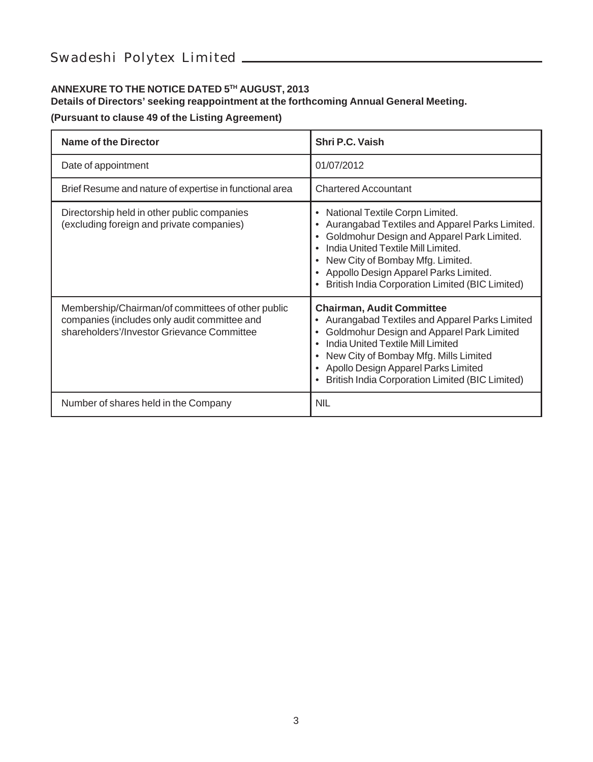#### **ANNEXURE TO THE NOTICE DATED 5TH AUGUST, 2013**

#### **Details of Directors' seeking reappointment at the forthcoming Annual General Meeting.**

**(Pursuant to clause 49 of the Listing Agreement)**

| Name of the Director                                                                                                                            | Shri P.C. Vaish                                                                                                                                                                                                                                                                                                   |
|-------------------------------------------------------------------------------------------------------------------------------------------------|-------------------------------------------------------------------------------------------------------------------------------------------------------------------------------------------------------------------------------------------------------------------------------------------------------------------|
| Date of appointment                                                                                                                             | 01/07/2012                                                                                                                                                                                                                                                                                                        |
| Brief Resume and nature of expertise in functional area                                                                                         | <b>Chartered Accountant</b>                                                                                                                                                                                                                                                                                       |
| Directorship held in other public companies<br>(excluding foreign and private companies)                                                        | National Textile Corpn Limited.<br>٠<br>Aurangabad Textiles and Apparel Parks Limited.<br>Goldmohur Design and Apparel Park Limited.<br>India United Textile Mill Limited.<br>New City of Bombay Mfg. Limited.<br>Appollo Design Apparel Parks Limited.<br><b>British India Corporation Limited (BIC Limited)</b> |
| Membership/Chairman/of committees of other public<br>companies (includes only audit committee and<br>shareholders'/Investor Grievance Committee | <b>Chairman, Audit Committee</b><br>Aurangabad Textiles and Apparel Parks Limited<br>Goldmohur Design and Apparel Park Limited<br>India United Textile Mill Limited<br>New City of Bombay Mfg. Mills Limited<br>Apollo Design Apparel Parks Limited<br>British India Corporation Limited (BIC Limited)            |
| Number of shares held in the Company                                                                                                            | <b>NIL</b>                                                                                                                                                                                                                                                                                                        |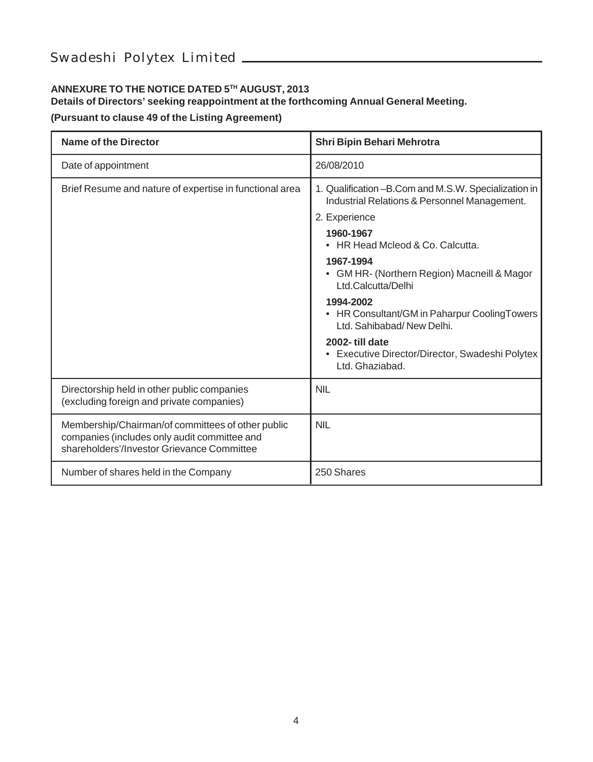#### **ANNEXURE TO THE NOTICE DATED 5TH AUGUST, 2013**

#### **Details of Directors' seeking reappointment at the forthcoming Annual General Meeting.**

**(Pursuant to clause 49 of the Listing Agreement)**

| <b>Name of the Director</b>                                                                                                                     | Shri Bipin Behari Mehrotra                                                                               |
|-------------------------------------------------------------------------------------------------------------------------------------------------|----------------------------------------------------------------------------------------------------------|
| Date of appointment                                                                                                                             | 26/08/2010                                                                                               |
| Brief Resume and nature of expertise in functional area                                                                                         | 1. Qualification - B. Com and M. S. W. Specialization in<br>Industrial Relations & Personnel Management. |
|                                                                                                                                                 | 2. Experience                                                                                            |
|                                                                                                                                                 | 1960-1967<br>HR Head Mcleod & Co. Calcutta.                                                              |
|                                                                                                                                                 | 1967-1994<br>• GM HR- (Northern Region) Macneill & Magor<br>Ltd.Calcutta/Delhi                           |
|                                                                                                                                                 | 1994-2002<br>• HR Consultant/GM in Paharpur CoolingTowers<br>Ltd. Sahibabad/New Delhi.                   |
|                                                                                                                                                 | 2002-till date<br>• Executive Director/Director, Swadeshi Polytex<br>Ltd. Ghaziabad.                     |
| Directorship held in other public companies<br>(excluding foreign and private companies)                                                        | <b>NII</b>                                                                                               |
| Membership/Chairman/of committees of other public<br>companies (includes only audit committee and<br>shareholders'/Investor Grievance Committee | <b>NII</b>                                                                                               |
| Number of shares held in the Company                                                                                                            | 250 Shares                                                                                               |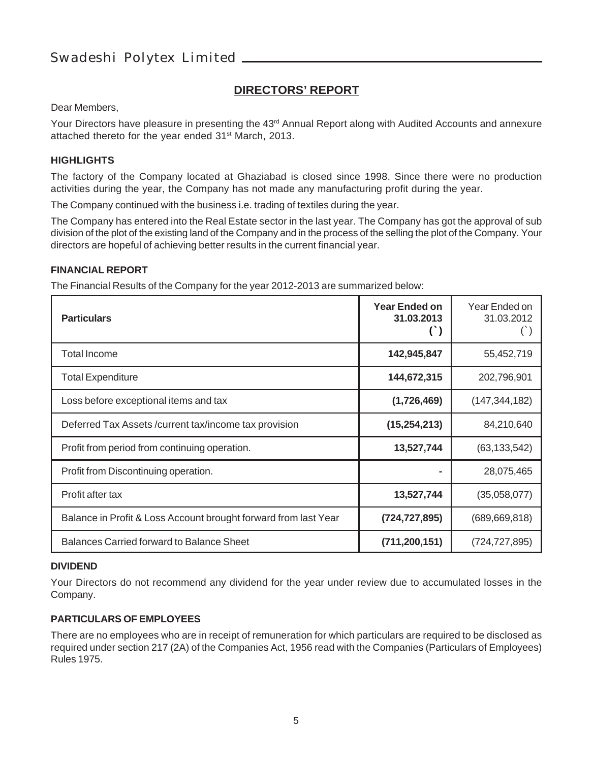#### **DIRECTORS' REPORT**

Dear Members,

Your Directors have pleasure in presenting the 43<sup>rd</sup> Annual Report along with Audited Accounts and annexure attached thereto for the year ended 31<sup>st</sup> March, 2013.

#### **HIGHLIGHTS**

The factory of the Company located at Ghaziabad is closed since 1998. Since there were no production activities during the year, the Company has not made any manufacturing profit during the year.

The Company continued with the business i.e. trading of textiles during the year.

The Company has entered into the Real Estate sector in the last year. The Company has got the approval of sub division of the plot of the existing land of the Company and in the process of the selling the plot of the Company. Your directors are hopeful of achieving better results in the current financial year.

#### **FINANCIAL REPORT**

The Financial Results of the Company for the year 2012-2013 are summarized below:

| <b>Particulars</b>                                              | Year Ended on<br>31.03.2013 | Year Ended on<br>31.03.2012 |
|-----------------------------------------------------------------|-----------------------------|-----------------------------|
| <b>Total Income</b>                                             | 142,945,847                 | 55,452,719                  |
| <b>Total Expenditure</b>                                        | 144,672,315                 | 202,796,901                 |
| Loss before exceptional items and tax                           | (1,726,469)                 | (147, 344, 182)             |
| Deferred Tax Assets/current tax/income tax provision            | (15, 254, 213)              | 84,210,640                  |
| Profit from period from continuing operation.                   | 13,527,744                  | (63, 133, 542)              |
| Profit from Discontinuing operation.                            |                             | 28,075,465                  |
| Profit after tax                                                | 13,527,744                  | (35,058,077)                |
| Balance in Profit & Loss Account brought forward from last Year | (724, 727, 895)             | (689, 669, 818)             |
| Balances Carried forward to Balance Sheet                       | (711, 200, 151)             | (724, 727, 895)             |

#### **DIVIDEND**

Your Directors do not recommend any dividend for the year under review due to accumulated losses in the Company.

#### **PARTICULARS OF EMPLOYEES**

There are no employees who are in receipt of remuneration for which particulars are required to be disclosed as required under section 217 (2A) of the Companies Act, 1956 read with the Companies (Particulars of Employees) Rules 1975.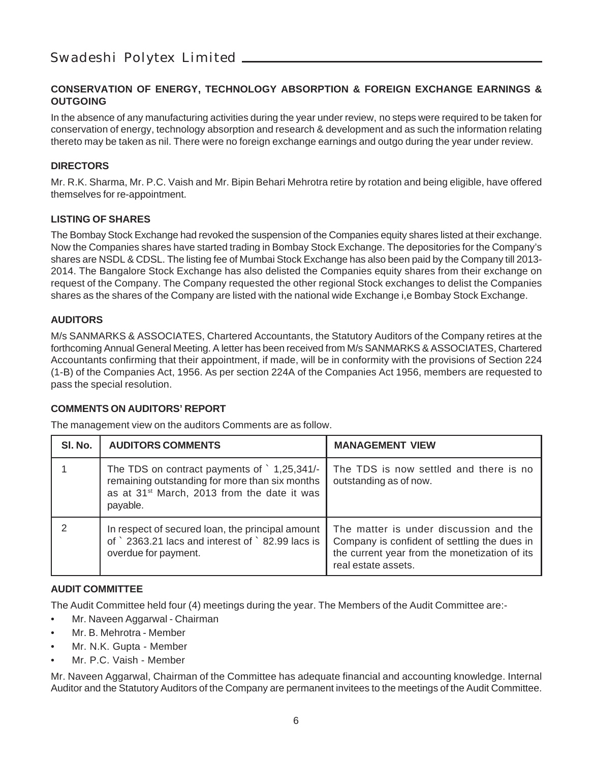#### **CONSERVATION OF ENERGY, TECHNOLOGY ABSORPTION & FOREIGN EXCHANGE EARNINGS & OUTGOING**

In the absence of any manufacturing activities during the year under review, no steps were required to be taken for conservation of energy, technology absorption and research & development and as such the information relating thereto may be taken as nil. There were no foreign exchange earnings and outgo during the year under review.

#### **DIRECTORS**

Mr. R.K. Sharma, Mr. P.C. Vaish and Mr. Bipin Behari Mehrotra retire by rotation and being eligible, have offered themselves for re-appointment.

#### **LISTING OF SHARES**

The Bombay Stock Exchange had revoked the suspension of the Companies equity shares listed at their exchange. Now the Companies shares have started trading in Bombay Stock Exchange. The depositories for the Company's shares are NSDL & CDSL. The listing fee of Mumbai Stock Exchange has also been paid by the Company till 2013- 2014. The Bangalore Stock Exchange has also delisted the Companies equity shares from their exchange on request of the Company. The Company requested the other regional Stock exchanges to delist the Companies shares as the shares of the Company are listed with the national wide Exchange i,e Bombay Stock Exchange.

#### **AUDITORS**

M/s SANMARKS & ASSOCIATES, Chartered Accountants, the Statutory Auditors of the Company retires at the forthcoming Annual General Meeting. A letter has been received from M/s SANMARKS & ASSOCIATES, Chartered Accountants confirming that their appointment, if made, will be in conformity with the provisions of Section 224 (1-B) of the Companies Act, 1956. As per section 224A of the Companies Act 1956, members are requested to pass the special resolution.

#### **COMMENTS ON AUDITORS' REPORT**

The management view on the auditors Comments are as follow.

| SI. No. | <b>AUDITORS COMMENTS</b>                                                                                                                                                      | <b>MANAGEMENT VIEW</b>                                                                                                                                         |
|---------|-------------------------------------------------------------------------------------------------------------------------------------------------------------------------------|----------------------------------------------------------------------------------------------------------------------------------------------------------------|
|         | The TDS on contract payments of $\degree$ 1,25,341/-<br>remaining outstanding for more than six months<br>as at 31 <sup>st</sup> March, 2013 from the date it was<br>payable. | The TDS is now settled and there is no<br>outstanding as of now.                                                                                               |
|         | In respect of secured loan, the principal amount<br>of 2363.21 lacs and interest of 82.99 lacs is<br>overdue for payment.                                                     | The matter is under discussion and the<br>Company is confident of settling the dues in<br>the current year from the monetization of its<br>real estate assets. |

#### **AUDIT COMMITTEE**

The Audit Committee held four (4) meetings during the year. The Members of the Audit Committee are:-

- Mr. Naveen Aggarwal Chairman
- Mr. B. Mehrotra Member
- Mr. N.K. Gupta Member
- Mr. P.C. Vaish Member

Mr. Naveen Aggarwal, Chairman of the Committee has adequate financial and accounting knowledge. Internal Auditor and the Statutory Auditors of the Company are permanent invitees to the meetings of the Audit Committee.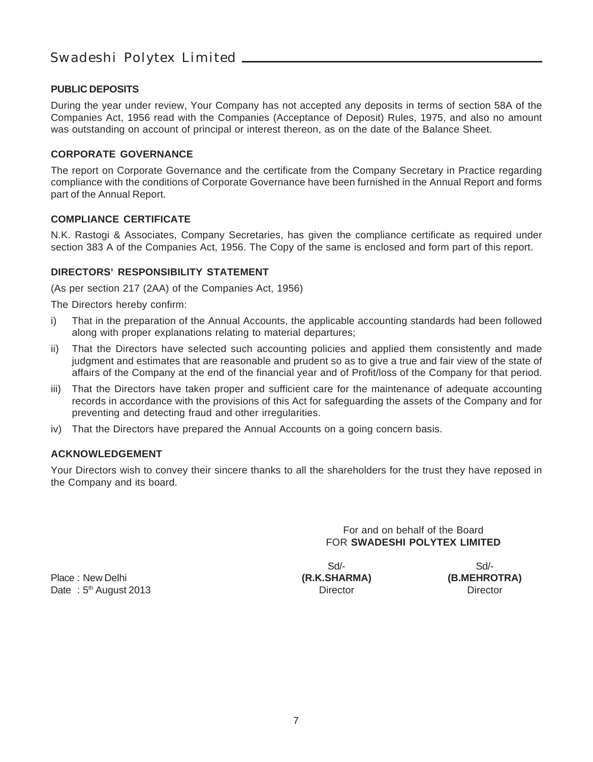#### **PUBLIC DEPOSITS**

During the year under review, Your Company has not accepted any deposits in terms of section 58A of the Companies Act, 1956 read with the Companies (Acceptance of Deposit) Rules, 1975, and also no amount was outstanding on account of principal or interest thereon, as on the date of the Balance Sheet.

#### **CORPORATE GOVERNANCE**

The report on Corporate Governance and the certificate from the Company Secretary in Practice regarding compliance with the conditions of Corporate Governance have been furnished in the Annual Report and forms part of the Annual Report.

#### **COMPLIANCE CERTIFICATE**

N.K. Rastogi & Associates, Company Secretaries, has given the compliance certificate as required under section 383 A of the Companies Act, 1956. The Copy of the same is enclosed and form part of this report.

#### **DIRECTORS' RESPONSIBILITY STATEMENT**

(As per section 217 (2AA) of the Companies Act, 1956)

The Directors hereby confirm:

- i) That in the preparation of the Annual Accounts, the applicable accounting standards had been followed along with proper explanations relating to material departures;
- ii) That the Directors have selected such accounting policies and applied them consistently and made judgment and estimates that are reasonable and prudent so as to give a true and fair view of the state of affairs of the Company at the end of the financial year and of Profit/loss of the Company for that period.
- iii) That the Directors have taken proper and sufficient care for the maintenance of adequate accounting records in accordance with the provisions of this Act for safeguarding the assets of the Company and for preventing and detecting fraud and other irregularities.
- iv) That the Directors have prepared the Annual Accounts on a going concern basis.

#### **ACKNOWLEDGEMENT**

Your Directors wish to convey their sincere thanks to all the shareholders for the trust they have reposed in the Company and its board.

> For and on behalf of the Board FOR **SWADESHI POLYTEX LIMITED**

Place : New Delhi **(R.K.SHARMA) (B.MEHROTRA)** Date : 5<sup>th</sup> August 2013 **Director** Director Director Director

Sd/- Sd/-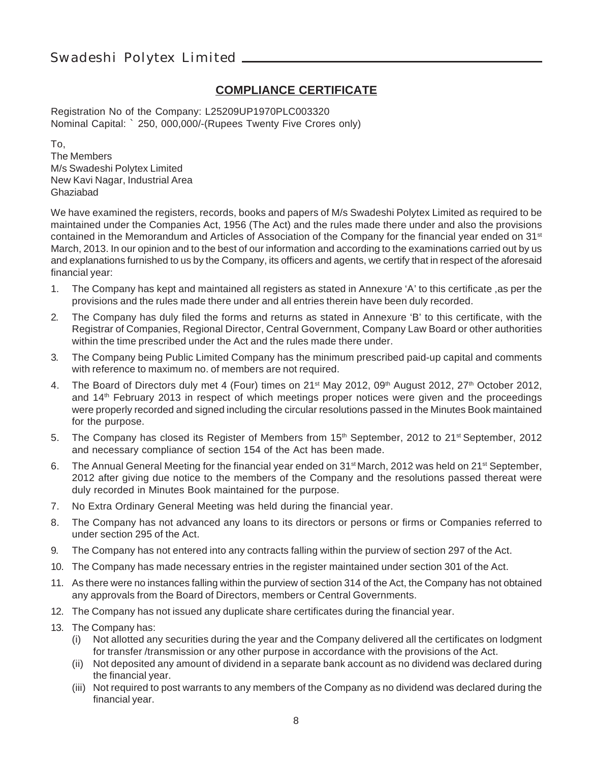#### **COMPLIANCE CERTIFICATE**

Registration No of the Company: L25209UP1970PLC003320 Nominal Capital: ` 250, 000,000/-(Rupees Twenty Five Crores only)

To, The Members M/s Swadeshi Polytex Limited New Kavi Nagar, Industrial Area Ghaziabad

We have examined the registers, records, books and papers of M/s Swadeshi Polytex Limited as required to be maintained under the Companies Act, 1956 (The Act) and the rules made there under and also the provisions contained in the Memorandum and Articles of Association of the Company for the financial year ended on 31<sup>st</sup> March, 2013. In our opinion and to the best of our information and according to the examinations carried out by us and explanations furnished to us by the Company, its officers and agents, we certify that in respect of the aforesaid financial year:

- 1. The Company has kept and maintained all registers as stated in Annexure 'A' to this certificate ,as per the provisions and the rules made there under and all entries therein have been duly recorded.
- 2. The Company has duly filed the forms and returns as stated in Annexure 'B' to this certificate, with the Registrar of Companies, Regional Director, Central Government, Company Law Board or other authorities within the time prescribed under the Act and the rules made there under.
- 3. The Company being Public Limited Company has the minimum prescribed paid-up capital and comments with reference to maximum no. of members are not required.
- 4. The Board of Directors duly met 4 (Four) times on 21<sup>st</sup> May 2012, 09<sup>th</sup> August 2012, 27<sup>th</sup> October 2012, and 14th February 2013 in respect of which meetings proper notices were given and the proceedings were properly recorded and signed including the circular resolutions passed in the Minutes Book maintained for the purpose.
- 5. The Company has closed its Register of Members from 15<sup>th</sup> September, 2012 to 21<sup>st</sup> September, 2012 and necessary compliance of section 154 of the Act has been made.
- 6. The Annual General Meeting for the financial year ended on 31<sup>st</sup> March, 2012 was held on 21<sup>st</sup> September, 2012 after giving due notice to the members of the Company and the resolutions passed thereat were duly recorded in Minutes Book maintained for the purpose.
- 7. No Extra Ordinary General Meeting was held during the financial year.
- 8. The Company has not advanced any loans to its directors or persons or firms or Companies referred to under section 295 of the Act.
- 9. The Company has not entered into any contracts falling within the purview of section 297 of the Act.
- 10. The Company has made necessary entries in the register maintained under section 301 of the Act.
- 11. As there were no instances falling within the purview of section 314 of the Act, the Company has not obtained any approvals from the Board of Directors, members or Central Governments.
- 12. The Company has not issued any duplicate share certificates during the financial year.
- 13. The Company has:
	- (i) Not allotted any securities during the year and the Company delivered all the certificates on lodgment for transfer /transmission or any other purpose in accordance with the provisions of the Act.
	- (ii) Not deposited any amount of dividend in a separate bank account as no dividend was declared during the financial year.
	- (iii) Not required to post warrants to any members of the Company as no dividend was declared during the financial year.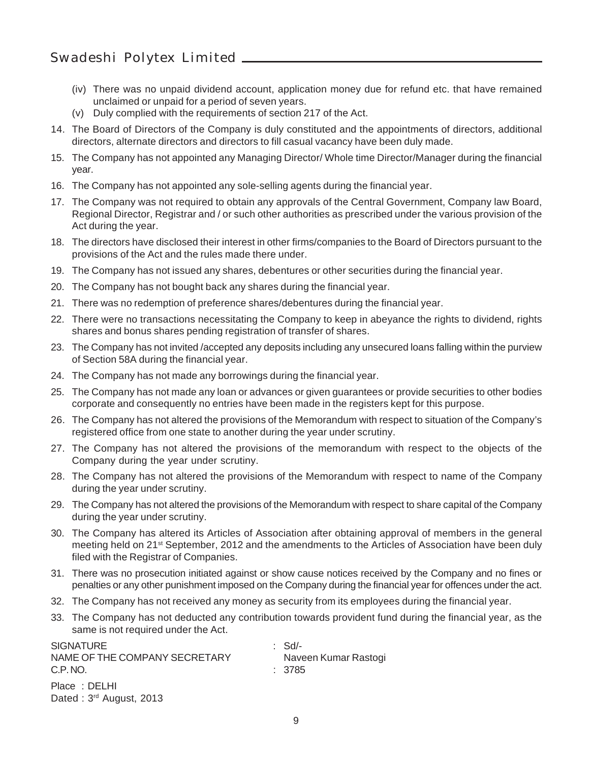- (iv) There was no unpaid dividend account, application money due for refund etc. that have remained unclaimed or unpaid for a period of seven years.
- (v) Duly complied with the requirements of section 217 of the Act.
- 14. The Board of Directors of the Company is duly constituted and the appointments of directors, additional directors, alternate directors and directors to fill casual vacancy have been duly made.
- 15. The Company has not appointed any Managing Director/ Whole time Director/Manager during the financial year.
- 16. The Company has not appointed any sole-selling agents during the financial year.
- 17. The Company was not required to obtain any approvals of the Central Government, Company law Board, Regional Director, Registrar and / or such other authorities as prescribed under the various provision of the Act during the year.
- 18. The directors have disclosed their interest in other firms/companies to the Board of Directors pursuant to the provisions of the Act and the rules made there under.
- 19. The Company has not issued any shares, debentures or other securities during the financial year.
- 20. The Company has not bought back any shares during the financial year.
- 21. There was no redemption of preference shares/debentures during the financial year.
- 22. There were no transactions necessitating the Company to keep in abeyance the rights to dividend, rights shares and bonus shares pending registration of transfer of shares.
- 23. The Company has not invited /accepted any deposits including any unsecured loans falling within the purview of Section 58A during the financial year.
- 24. The Company has not made any borrowings during the financial year.
- 25. The Company has not made any loan or advances or given guarantees or provide securities to other bodies corporate and consequently no entries have been made in the registers kept for this purpose.
- 26. The Company has not altered the provisions of the Memorandum with respect to situation of the Company's registered office from one state to another during the year under scrutiny.
- 27. The Company has not altered the provisions of the memorandum with respect to the objects of the Company during the year under scrutiny.
- 28. The Company has not altered the provisions of the Memorandum with respect to name of the Company during the year under scrutiny.
- 29. The Company has not altered the provisions of the Memorandum with respect to share capital of the Company during the year under scrutiny.
- 30. The Company has altered its Articles of Association after obtaining approval of members in the general meeting held on 21<sup>st</sup> September, 2012 and the amendments to the Articles of Association have been duly filed with the Registrar of Companies.
- 31. There was no prosecution initiated against or show cause notices received by the Company and no fines or penalties or any other punishment imposed on the Company during the financial year for offences under the act.
- 32. The Company has not received any money as security from its employees during the financial year.
- 33. The Company has not deducted any contribution towards provident fund during the financial year, as the same is not required under the Act.

| <b>SIGNATURE</b><br>NAME OF THE COMPANY SECRETARY<br>C.P.NO. | : Sd/-<br>Naveen Kumar Rastogi<br>: 3785 |
|--------------------------------------------------------------|------------------------------------------|
| Place: DELHI<br>Dated: 3 <sup>rd</sup> August, 2013          |                                          |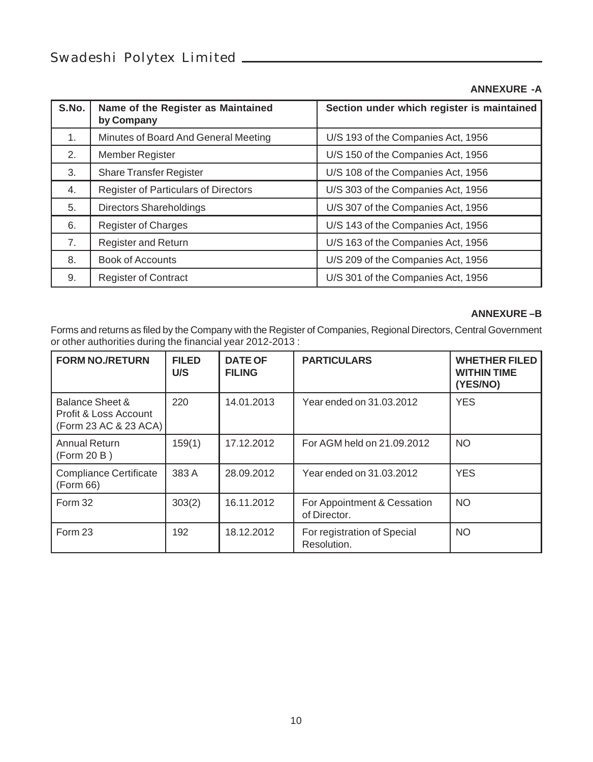#### **ANNEXURE -A**

| S.No.          | Name of the Register as Maintained<br>by Company | Section under which register is maintained |
|----------------|--------------------------------------------------|--------------------------------------------|
| 1 <sub>1</sub> | Minutes of Board And General Meeting             | U/S 193 of the Companies Act, 1956         |
| 2.             | <b>Member Register</b>                           | U/S 150 of the Companies Act, 1956         |
| 3.             | <b>Share Transfer Register</b>                   | U/S 108 of the Companies Act, 1956         |
| 4.             | <b>Register of Particulars of Directors</b>      | U/S 303 of the Companies Act, 1956         |
| 5.             | Directors Shareholdings                          | U/S 307 of the Companies Act, 1956         |
| 6.             | <b>Register of Charges</b>                       | U/S 143 of the Companies Act, 1956         |
| 7.             | <b>Register and Return</b>                       | U/S 163 of the Companies Act, 1956         |
| 8.             | <b>Book of Accounts</b>                          | U/S 209 of the Companies Act, 1956         |
| 9.             | <b>Register of Contract</b>                      | U/S 301 of the Companies Act, 1956         |

#### **ANNEXURE –B**

Forms and returns as filed by the Company with the Register of Companies, Regional Directors, Central Government or other authorities during the financial year 2012-2013 :

| <b>FORM NO./RETURN</b>                                            | <b>FILED</b><br>U/S | <b>DATE OF</b><br><b>FILING</b> | <b>PARTICULARS</b>                          | <b>WHETHER FILED</b><br><b>WITHIN TIME</b><br>(YES/NO) |
|-------------------------------------------------------------------|---------------------|---------------------------------|---------------------------------------------|--------------------------------------------------------|
| Balance Sheet &<br>Profit & Loss Account<br>(Form 23 AC & 23 ACA) | 220                 | 14.01.2013                      | Year ended on 31,03,2012                    | <b>YES</b>                                             |
| Annual Return<br>(Form 20 B)                                      | 159(1)              | 17.12.2012                      | For AGM held on 21.09.2012                  | NO.                                                    |
| Compliance Certificate<br>(Form 66)                               | 383 A               | 28.09.2012                      | Year ended on 31,03,2012                    | <b>YES</b>                                             |
| Form 32                                                           | 303(2)              | 16.11.2012                      | For Appointment & Cessation<br>of Director. | NO.                                                    |
| Form 23                                                           | 192                 | 18.12.2012                      | For registration of Special<br>Resolution.  | NO <sub>1</sub>                                        |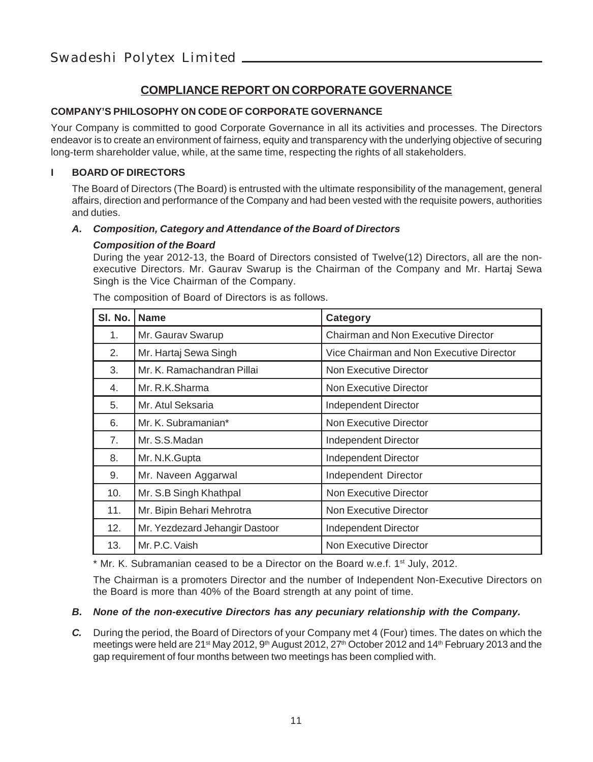#### **COMPLIANCE REPORT ON CORPORATE GOVERNANCE**

#### **COMPANY'S PHILOSOPHY ON CODE OF CORPORATE GOVERNANCE**

Your Company is committed to good Corporate Governance in all its activities and processes. The Directors endeavor is to create an environment of fairness, equity and transparency with the underlying objective of securing long-term shareholder value, while, at the same time, respecting the rights of all stakeholders.

#### **I BOARD OF DIRECTORS**

The Board of Directors (The Board) is entrusted with the ultimate responsibility of the management, general affairs, direction and performance of the Company and had been vested with the requisite powers, authorities and duties.

#### *A. Composition, Category and Attendance of the Board of Directors*

#### *Composition of the Board*

During the year 2012-13, the Board of Directors consisted of Twelve(12) Directors, all are the nonexecutive Directors. Mr. Gaurav Swarup is the Chairman of the Company and Mr. Hartaj Sewa Singh is the Vice Chairman of the Company.

| SI. No. | <b>Name</b>                    | Category                                   |
|---------|--------------------------------|--------------------------------------------|
| 1.      | Mr. Gaurav Swarup              | <b>Chairman and Non Executive Director</b> |
| 2.      | Mr. Hartaj Sewa Singh          | Vice Chairman and Non Executive Director   |
| 3.      | Mr. K. Ramachandran Pillai     | Non Executive Director                     |
| 4.      | Mr. R.K.Sharma                 | Non Executive Director                     |
| 5.      | Mr. Atul Seksaria              | Independent Director                       |
| 6.      | Mr. K. Subramanian*            | Non Executive Director                     |
| 7.      | Mr. S.S.Madan                  | Independent Director                       |
| 8.      | Mr. N.K.Gupta                  | Independent Director                       |
| 9.      | Mr. Naveen Aggarwal            | Independent Director                       |
| 10.     | Mr. S.B Singh Khathpal         | Non Executive Director                     |
| 11.     | Mr. Bipin Behari Mehrotra      | Non Executive Director                     |
| 12.     | Mr. Yezdezard Jehangir Dastoor | Independent Director                       |
| 13.     | Mr. P.C. Vaish                 | Non Executive Director                     |

The composition of Board of Directors is as follows.

 $*$  Mr. K. Subramanian ceased to be a Director on the Board w.e.f. 1<sup>st</sup> July, 2012.

The Chairman is a promoters Director and the number of Independent Non-Executive Directors on the Board is more than 40% of the Board strength at any point of time.

#### *B. None of the non-executive Directors has any pecuniary relationship with the Company.*

*C.* During the period, the Board of Directors of your Company met 4 (Four) times. The dates on which the meetings were held are 21<sup>st</sup> May 2012, 9<sup>th</sup> August 2012, 27<sup>th</sup> October 2012 and 14<sup>th</sup> February 2013 and the gap requirement of four months between two meetings has been complied with.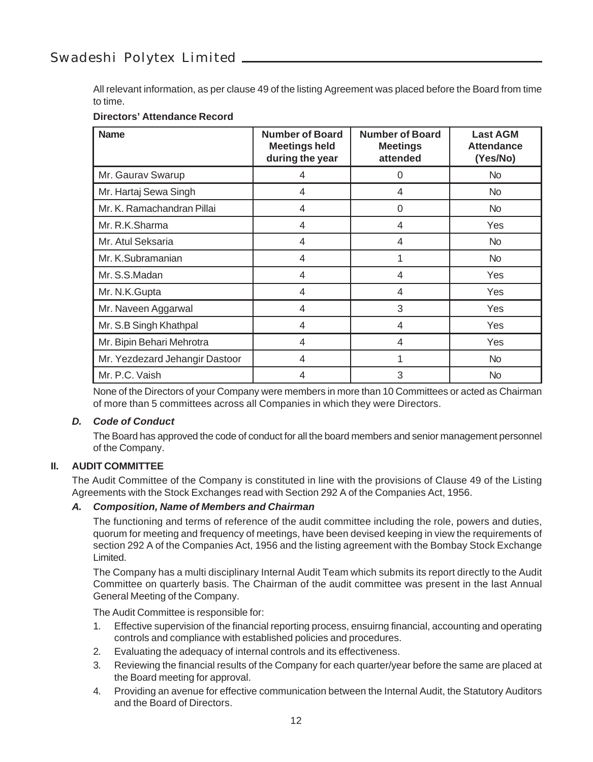All relevant information, as per clause 49 of the listing Agreement was placed before the Board from time to time.

#### **Directors' Attendance Record**

| <b>Name</b>                    | <b>Number of Board</b><br><b>Meetings held</b><br>during the year | <b>Number of Board</b><br><b>Meetings</b><br>attended | <b>Last AGM</b><br><b>Attendance</b><br>(Yes/No) |
|--------------------------------|-------------------------------------------------------------------|-------------------------------------------------------|--------------------------------------------------|
| Mr. Gaurav Swarup              | 4                                                                 | 0                                                     | <b>No</b>                                        |
| Mr. Hartaj Sewa Singh          | 4                                                                 | 4                                                     | <b>No</b>                                        |
| Mr. K. Ramachandran Pillai     | 4                                                                 | 0                                                     | <b>No</b>                                        |
| Mr. R.K.Sharma                 | 4                                                                 | 4                                                     | Yes                                              |
| Mr. Atul Seksaria              | 4                                                                 | 4                                                     | No.                                              |
| Mr. K.Subramanian              | 4                                                                 | 1                                                     | <b>No</b>                                        |
| Mr. S.S.Madan                  | 4                                                                 | 4                                                     | Yes                                              |
| Mr. N.K.Gupta                  | 4                                                                 | 4                                                     | Yes                                              |
| Mr. Naveen Aggarwal            | 4                                                                 | 3                                                     | Yes                                              |
| Mr. S.B Singh Khathpal         | 4                                                                 | 4                                                     | Yes                                              |
| Mr. Bipin Behari Mehrotra      | 4                                                                 | 4                                                     | Yes                                              |
| Mr. Yezdezard Jehangir Dastoor | 4                                                                 | 1                                                     | No.                                              |
| Mr. P.C. Vaish                 | 4                                                                 | 3                                                     | <b>No</b>                                        |

None of the Directors of your Company were members in more than 10 Committees or acted as Chairman of more than 5 committees across all Companies in which they were Directors.

#### *D. Code of Conduct*

The Board has approved the code of conduct for all the board members and senior management personnel of the Company.

#### **II. AUDIT COMMITTEE**

The Audit Committee of the Company is constituted in line with the provisions of Clause 49 of the Listing Agreements with the Stock Exchanges read with Section 292 A of the Companies Act, 1956.

#### *A. Composition, Name of Members and Chairman*

The functioning and terms of reference of the audit committee including the role, powers and duties, quorum for meeting and frequency of meetings, have been devised keeping in view the requirements of section 292 A of the Companies Act, 1956 and the listing agreement with the Bombay Stock Exchange Limited.

The Company has a multi disciplinary Internal Audit Team which submits its report directly to the Audit Committee on quarterly basis. The Chairman of the audit committee was present in the last Annual General Meeting of the Company.

The Audit Committee is responsible for:

- 1. Effective supervision of the financial reporting process, ensuirng financial, accounting and operating controls and compliance with established policies and procedures.
- 2. Evaluating the adequacy of internal controls and its effectiveness.
- 3. Reviewing the financial results of the Company for each quarter/year before the same are placed at the Board meeting for approval.
- 4. Providing an avenue for effective communication between the Internal Audit, the Statutory Auditors and the Board of Directors.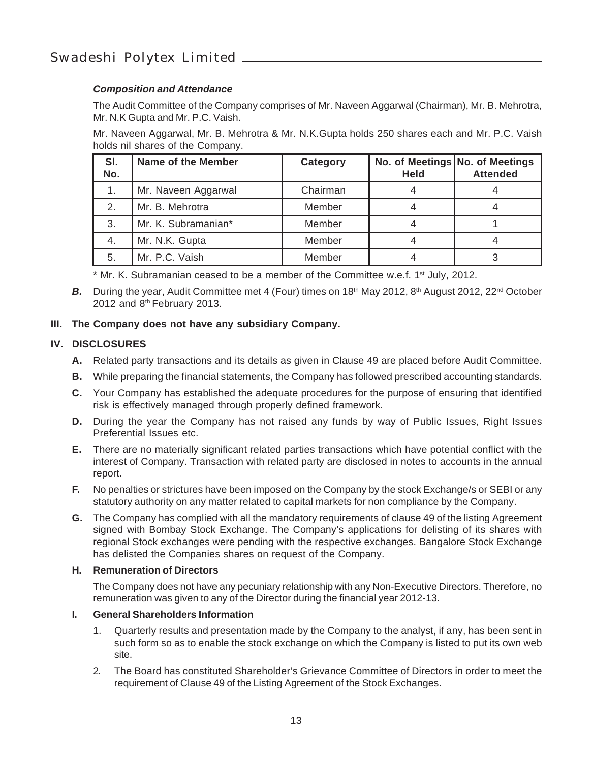#### *Composition and Attendance*

The Audit Committee of the Company comprises of Mr. Naveen Aggarwal (Chairman), Mr. B. Mehrotra, Mr. N.K Gupta and Mr. P.C. Vaish.

Mr. Naveen Aggarwal, Mr. B. Mehrotra & Mr. N.K.Gupta holds 250 shares each and Mr. P.C. Vaish holds nil shares of the Company.

| SI.<br>No. | Name of the Member  | Category | <b>Held</b> | No. of Meetings No. of Meetings<br><b>Attended</b> |
|------------|---------------------|----------|-------------|----------------------------------------------------|
|            | Mr. Naveen Aggarwal | Chairman |             |                                                    |
| 2.         | Mr. B. Mehrotra     | Member   |             |                                                    |
| 3.         | Mr. K. Subramanian* | Member   |             |                                                    |
| 4.         | Mr. N.K. Gupta      | Member   |             |                                                    |
| 5.         | Mr. P.C. Vaish      | Member   |             |                                                    |

\* Mr. K. Subramanian ceased to be a member of the Committee w.e.f. 1<sup>st</sup> July, 2012.

**B.** During the year, Audit Committee met 4 (Four) times on 18<sup>th</sup> May 2012, 8<sup>th</sup> August 2012, 22<sup>nd</sup> October 2012 and 8th February 2013.

#### **III. The Company does not have any subsidiary Company.**

#### **IV.** DISCLOSURES

- **A.** Related party transactions and its details as given in Clause 49 are placed before Audit Committee.
- **B.** While preparing the financial statements, the Company has followed prescribed accounting standards.
- **C.** Your Company has established the adequate procedures for the purpose of ensuring that identified risk is effectively managed through properly defined framework.
- **D.** During the year the Company has not raised any funds by way of Public Issues, Right Issues Preferential Issues etc.
- **E.** There are no materially significant related parties transactions which have potential conflict with the interest of Company. Transaction with related party are disclosed in notes to accounts in the annual report.
- **F.** No penalties or strictures have been imposed on the Company by the stock Exchange/s or SEBI or any statutory authority on any matter related to capital markets for non compliance by the Company.
- **G.** The Company has complied with all the mandatory requirements of clause 49 of the listing Agreement signed with Bombay Stock Exchange. The Company's applications for delisting of its shares with regional Stock exchanges were pending with the respective exchanges. Bangalore Stock Exchange has delisted the Companies shares on request of the Company.

#### **H. Remuneration of Directors**

The Company does not have any pecuniary relationship with any Non-Executive Directors. Therefore, no remuneration was given to any of the Director during the financial year 2012-13.

#### **I. General Shareholders Information**

- 1. Quarterly results and presentation made by the Company to the analyst, if any, has been sent in such form so as to enable the stock exchange on which the Company is listed to put its own web site.
- 2. The Board has constituted Shareholder's Grievance Committee of Directors in order to meet the requirement of Clause 49 of the Listing Agreement of the Stock Exchanges.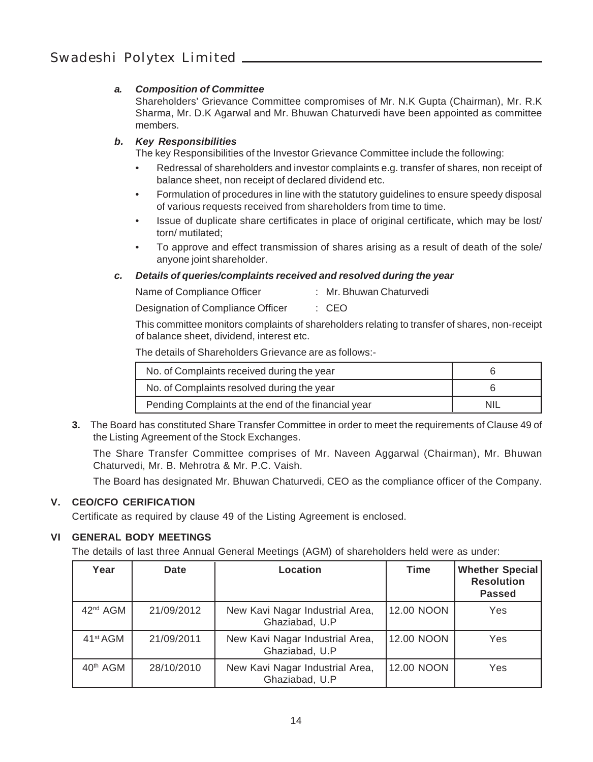#### *a. Composition of Committee*

Shareholders' Grievance Committee compromises of Mr. N.K Gupta (Chairman), Mr. R.K Sharma, Mr. D.K Agarwal and Mr. Bhuwan Chaturvedi have been appointed as committee members.

#### *b. Key Responsibilities*

The key Responsibilities of the Investor Grievance Committee include the following:

- Redressal of shareholders and investor complaints e.g. transfer of shares, non receipt of balance sheet, non receipt of declared dividend etc.
- Formulation of procedures in line with the statutory guidelines to ensure speedy disposal of various requests received from shareholders from time to time.
- Issue of duplicate share certificates in place of original certificate, which may be lost/ torn/ mutilated;
- To approve and effect transmission of shares arising as a result of death of the sole/ anyone joint shareholder.

#### *c. Details of queries/complaints received and resolved during the year*

| Name of Compliance Officer | : Mr. Bhuwan Chaturvedi |
|----------------------------|-------------------------|
|                            |                         |

Designation of Compliance Officer : CEO

This committee monitors complaints of shareholders relating to transfer of shares, non-receipt of balance sheet, dividend, interest etc.

The details of Shareholders Grievance are as follows:-

| No. of Complaints received during the year          |  |
|-----------------------------------------------------|--|
| No. of Complaints resolved during the year          |  |
| Pending Complaints at the end of the financial year |  |

**3.** The Board has constituted Share Transfer Committee in order to meet the requirements of Clause 49 of the Listing Agreement of the Stock Exchanges.

The Share Transfer Committee comprises of Mr. Naveen Aggarwal (Chairman), Mr. Bhuwan Chaturvedi, Mr. B. Mehrotra & Mr. P.C. Vaish.

The Board has designated Mr. Bhuwan Chaturvedi, CEO as the compliance officer of the Company.

#### **V. CEO/CFO CERIFICATION**

Certificate as required by clause 49 of the Listing Agreement is enclosed.

#### **VI GENERAL BODY MEETINGS**

The details of last three Annual General Meetings (AGM) of shareholders held were as under:

| Year                 | Date       | Location                                          | <b>Time</b> | <b>Whether Special</b><br><b>Resolution</b><br>Passed |
|----------------------|------------|---------------------------------------------------|-------------|-------------------------------------------------------|
| 42 <sup>nd</sup> AGM | 21/09/2012 | New Kavi Nagar Industrial Area,<br>Ghaziabad, U.P | 12.00 NOON  | Yes                                                   |
| 41 <sup>st</sup> AGM | 21/09/2011 | New Kavi Nagar Industrial Area,<br>Ghaziabad, U.P | 12.00 NOON  | Yes                                                   |
| 40 <sup>th</sup> AGM | 28/10/2010 | New Kavi Nagar Industrial Area,<br>Ghaziabad, U.P | 12.00 NOON  | Yes                                                   |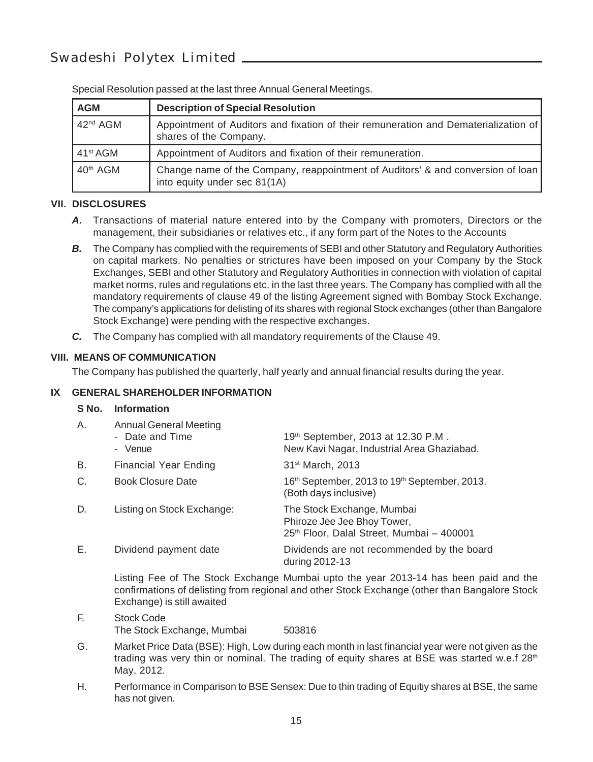| <b>AGM</b>           | <b>Description of Special Resolution</b>                                                                        |
|----------------------|-----------------------------------------------------------------------------------------------------------------|
| 42 <sup>nd</sup> AGM | Appointment of Auditors and fixation of their remuneration and Dematerialization of<br>shares of the Company.   |
| 41 <sup>st</sup> AGM | Appointment of Auditors and fixation of their remuneration.                                                     |
| 40 <sup>th</sup> AGM | Change name of the Company, reappointment of Auditors' & and conversion of loan<br>into equity under sec 81(1A) |

Special Resolution passed at the last three Annual General Meetings.

#### **VII. DISCLOSURES**

- *A.* Transactions of material nature entered into by the Company with promoters, Directors or the management, their subsidiaries or relatives etc., if any form part of the Notes to the Accounts
- **B.** The Company has complied with the requirements of SEBI and other Statutory and Regulatory Authorities on capital markets. No penalties or strictures have been imposed on your Company by the Stock Exchanges, SEBI and other Statutory and Regulatory Authorities in connection with violation of capital market norms, rules and regulations etc. in the last three years. The Company has complied with all the mandatory requirements of clause 49 of the listing Agreement signed with Bombay Stock Exchange. The company's applications for delisting of its shares with regional Stock exchanges (other than Bangalore Stock Exchange) were pending with the respective exchanges.
- *C.* The Company has complied with all mandatory requirements of the Clause 49.

#### **VIII. MEANS OF COMMUNICATION**

The Company has published the quarterly, half yearly and annual financial results during the year.

#### **IX GENERAL SHAREHOLDER INFORMATION**

#### **S No. Information**

| А. | <b>Annual General Meeting</b><br>- Date and Time<br>- Venue | 19th September, 2013 at 12.30 P.M.<br>New Kavi Nagar, Industrial Area Ghaziabad.                       |
|----|-------------------------------------------------------------|--------------------------------------------------------------------------------------------------------|
| В. | <b>Financial Year Ending</b>                                | 31 <sup>st</sup> March, 2013                                                                           |
| C. | <b>Book Closure Date</b>                                    | 16 <sup>th</sup> September, 2013 to 19 <sup>th</sup> September, 2013.<br>(Both days inclusive)         |
| D. | Listing on Stock Exchange:                                  | The Stock Exchange, Mumbai<br>Phiroze Jee Jee Bhoy Tower,<br>25th Floor, Dalal Street, Mumbai - 400001 |
| Е. | Dividend payment date                                       | Dividends are not recommended by the board<br>during 2012-13                                           |

Listing Fee of The Stock Exchange Mumbai upto the year 2013-14 has been paid and the confirmations of delisting from regional and other Stock Exchange (other than Bangalore Stock Exchange) is still awaited

- F. Stock Code The Stock Exchange, Mumbai 503816
- G. Market Price Data (BSE): High, Low during each month in last financial year were not given as the trading was very thin or nominal. The trading of equity shares at BSE was started w.e.f  $28<sup>th</sup>$ May, 2012.
- H. Performance in Comparison to BSE Sensex: Due to thin trading of Equitiy shares at BSE, the same has not given.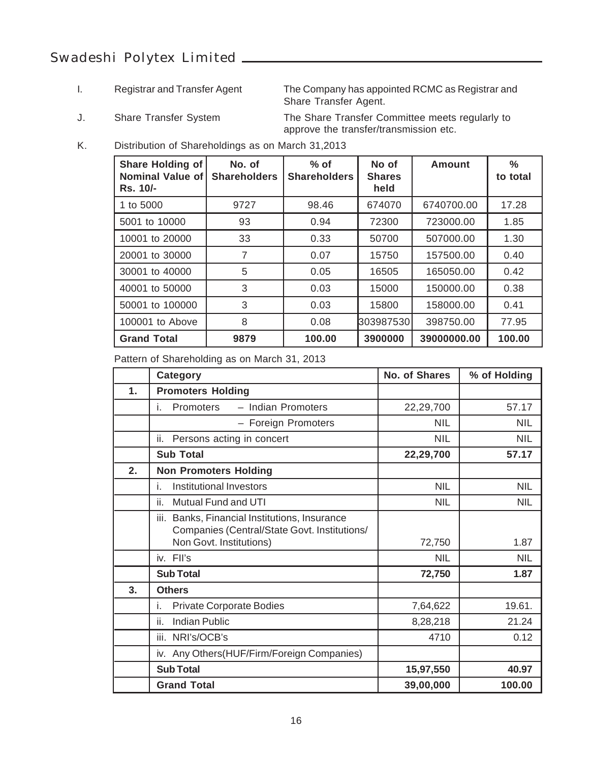I. Registrar and Transfer Agent The Company has appointed RCMC as Registrar and Share Transfer Agent.

J. Share Transfer System The Share Transfer Committee meets regularly to approve the transfer/transmission etc.

K. Distribution of Shareholdings as on March 31,2013

| <b>Share Holding of</b><br><b>Nominal Value of</b><br>Rs. 10/- | No. of<br><b>Shareholders</b> | $%$ of<br><b>Shareholders</b> | No of<br><b>Shares</b><br>held | Amount      | ℅<br>to total |
|----------------------------------------------------------------|-------------------------------|-------------------------------|--------------------------------|-------------|---------------|
| 1 to 5000                                                      | 9727                          | 98.46                         | 674070                         | 6740700.00  | 17.28         |
| 5001 to 10000                                                  | 93                            | 0.94                          | 72300                          | 723000.00   | 1.85          |
| 10001 to 20000                                                 | 33                            | 0.33                          | 50700                          | 507000.00   | 1.30          |
| 20001 to 30000                                                 | 7                             | 0.07                          | 15750                          | 157500.00   | 0.40          |
| 30001 to 40000                                                 | 5                             | 0.05                          | 16505                          | 165050.00   | 0.42          |
| 40001 to 50000                                                 | 3                             | 0.03                          | 15000                          | 150000.00   | 0.38          |
| 50001 to 100000                                                | 3                             | 0.03                          | 15800                          | 158000.00   | 0.41          |
| 100001 to Above                                                | 8                             | 0.08                          | 303987530                      | 398750.00   | 77.95         |
| <b>Grand Total</b>                                             | 9879                          | 100.00                        | 3900000                        | 39000000.00 | 100.00        |

Pattern of Shareholding as on March 31, 2013

|    | Category                                                                                         | No. of Shares | % of Holding |
|----|--------------------------------------------------------------------------------------------------|---------------|--------------|
| 1. | <b>Promoters Holding</b>                                                                         |               |              |
|    | <b>Promoters</b><br>- Indian Promoters<br>i.                                                     | 22,29,700     | 57.17        |
|    | - Foreign Promoters                                                                              | <b>NIL</b>    | <b>NIL</b>   |
|    | Persons acting in concert<br>ii.                                                                 | <b>NIL</b>    | <b>NIL</b>   |
|    | <b>Sub Total</b>                                                                                 | 22,29,700     | 57.17        |
| 2. | <b>Non Promoters Holding</b>                                                                     |               |              |
|    | Institutional Investors<br>İ.                                                                    | <b>NIL</b>    | <b>NIL</b>   |
|    | Mutual Fund and UTI<br>ii.                                                                       | <b>NIL</b>    | <b>NIL</b>   |
|    | Banks, Financial Institutions, Insurance<br>iii.<br>Companies (Central/State Govt. Institutions/ |               |              |
|    | Non Govt. Institutions)                                                                          | 72,750        | 1.87         |
|    | iv. Fll's                                                                                        | <b>NIL</b>    | <b>NIL</b>   |
|    | <b>Sub Total</b>                                                                                 | 72,750        | 1.87         |
| 3. | <b>Others</b>                                                                                    |               |              |
|    | <b>Private Corporate Bodies</b><br>Τ.                                                            | 7,64,622      | 19.61.       |
|    | ii.<br><b>Indian Public</b>                                                                      | 8,28,218      | 21.24        |
|    | iii.<br>NRI's/OCB's                                                                              | 4710          | 0.12         |
|    | iv. Any Others (HUF/Firm/Foreign Companies)                                                      |               |              |
|    | <b>Sub Total</b>                                                                                 | 15,97,550     | 40.97        |
|    | <b>Grand Total</b>                                                                               | 39,00,000     | 100.00       |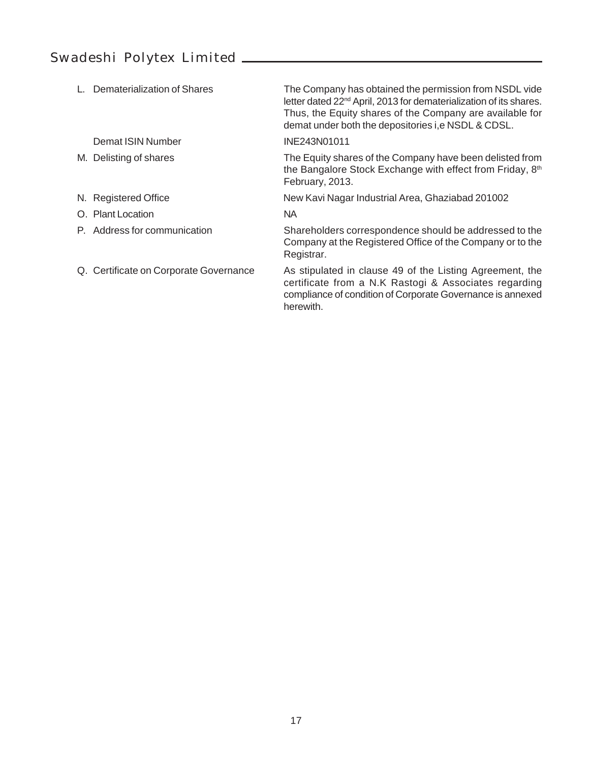| Dematerialization of Shares            | The Company has obtained the permission from NSDL vide<br>letter dated 22 <sup>nd</sup> April, 2013 for dematerialization of its shares.<br>Thus, the Equity shares of the Company are available for<br>demat under both the depositories i.e NSDL & CDSL. |
|----------------------------------------|------------------------------------------------------------------------------------------------------------------------------------------------------------------------------------------------------------------------------------------------------------|
| Demat ISIN Number                      | INE243N01011                                                                                                                                                                                                                                               |
| M. Delisting of shares                 | The Equity shares of the Company have been delisted from<br>the Bangalore Stock Exchange with effect from Friday, 8th<br>February, 2013.                                                                                                                   |
| N. Registered Office                   | New Kavi Nagar Industrial Area, Ghaziabad 201002                                                                                                                                                                                                           |
| O. Plant Location                      | <b>NA</b>                                                                                                                                                                                                                                                  |
| P. Address for communication           | Shareholders correspondence should be addressed to the<br>Company at the Registered Office of the Company or to the<br>Registrar.                                                                                                                          |
| Q. Certificate on Corporate Governance | As stipulated in clause 49 of the Listing Agreement, the<br>certificate from a N.K Rastogi & Associates regarding<br>compliance of condition of Corporate Governance is annexed<br>herewith.                                                               |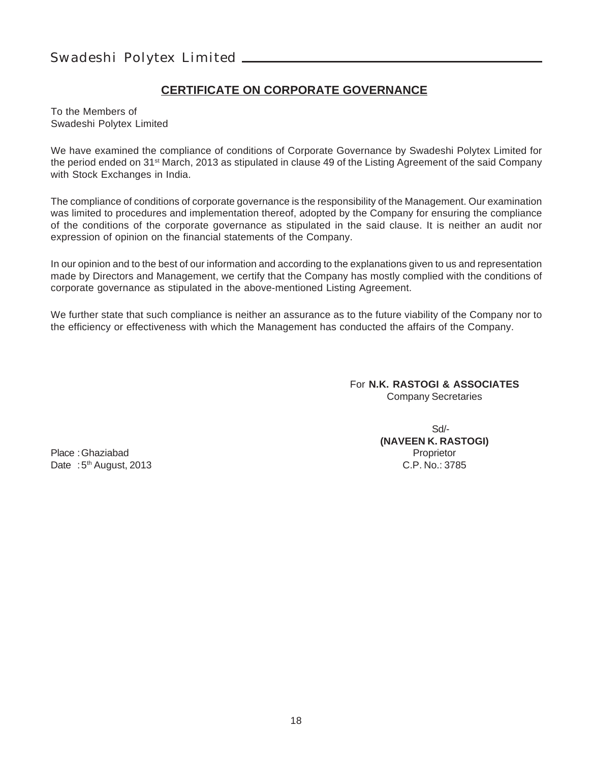#### **CERTIFICATE ON CORPORATE GOVERNANCE**

To the Members of Swadeshi Polytex Limited

We have examined the compliance of conditions of Corporate Governance by Swadeshi Polytex Limited for the period ended on 31st March, 2013 as stipulated in clause 49 of the Listing Agreement of the said Company with Stock Exchanges in India.

The compliance of conditions of corporate governance is the responsibility of the Management. Our examination was limited to procedures and implementation thereof, adopted by the Company for ensuring the compliance of the conditions of the corporate governance as stipulated in the said clause. It is neither an audit nor expression of opinion on the financial statements of the Company.

In our opinion and to the best of our information and according to the explanations given to us and representation made by Directors and Management, we certify that the Company has mostly complied with the conditions of corporate governance as stipulated in the above-mentioned Listing Agreement.

We further state that such compliance is neither an assurance as to the future viability of the Company nor to the efficiency or effectiveness with which the Management has conducted the affairs of the Company.

> For **N.K. RASTOGI & ASSOCIATES** Company Secretaries

Place :Ghaziabad Proprietor Date : 5<sup>th</sup> August, 2013

Sd/- **(NAVEEN K. RASTOGI)**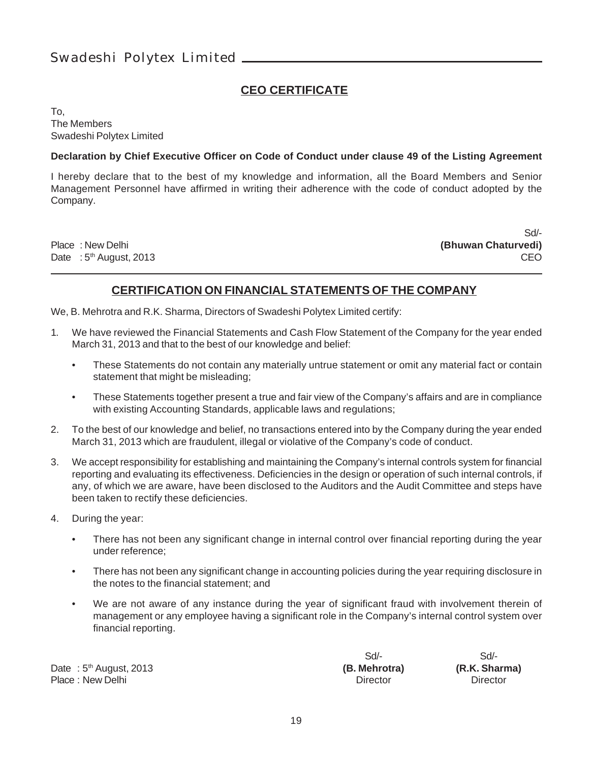#### **CEO CERTIFICATE**

To, The Members Swadeshi Polytex Limited

#### **Declaration by Chief Executive Officer on Code of Conduct under clause 49 of the Listing Agreement**

I hereby declare that to the best of my knowledge and information, all the Board Members and Senior Management Personnel have affirmed in writing their adherence with the code of conduct adopted by the Company.

Date : 5<sup>th</sup> August, 2013 **CEO** 

Sd/- Place : New Delhi **(Bhuwan Chaturvedi)**

#### **CERTIFICATION ON FINANCIAL STATEMENTS OF THE COMPANY**

We, B. Mehrotra and R.K. Sharma, Directors of Swadeshi Polytex Limited certify:

- 1. We have reviewed the Financial Statements and Cash Flow Statement of the Company for the year ended March 31, 2013 and that to the best of our knowledge and belief:
	- These Statements do not contain any materially untrue statement or omit any material fact or contain statement that might be misleading;
	- These Statements together present a true and fair view of the Company's affairs and are in compliance with existing Accounting Standards, applicable laws and regulations;
- 2. To the best of our knowledge and belief, no transactions entered into by the Company during the year ended March 31, 2013 which are fraudulent, illegal or violative of the Company's code of conduct.
- 3. We accept responsibility for establishing and maintaining the Company's internal controls system for financial reporting and evaluating its effectiveness. Deficiencies in the design or operation of such internal controls, if any, of which we are aware, have been disclosed to the Auditors and the Audit Committee and steps have been taken to rectify these deficiencies.
- 4. During the year:
	- There has not been any significant change in internal control over financial reporting during the year under reference;
	- There has not been any significant change in accounting policies during the year requiring disclosure in the notes to the financial statement; and
	- We are not aware of any instance during the year of significant fraud with involvement therein of management or any employee having a significant role in the Company's internal control system over financial reporting.

Date : 5th August, 2013 **(B. Mehrotra) (R.K. Sharma)** Place : New Delhi **Director** Director **Director** Director **Director** Director

Sd/- Sd/-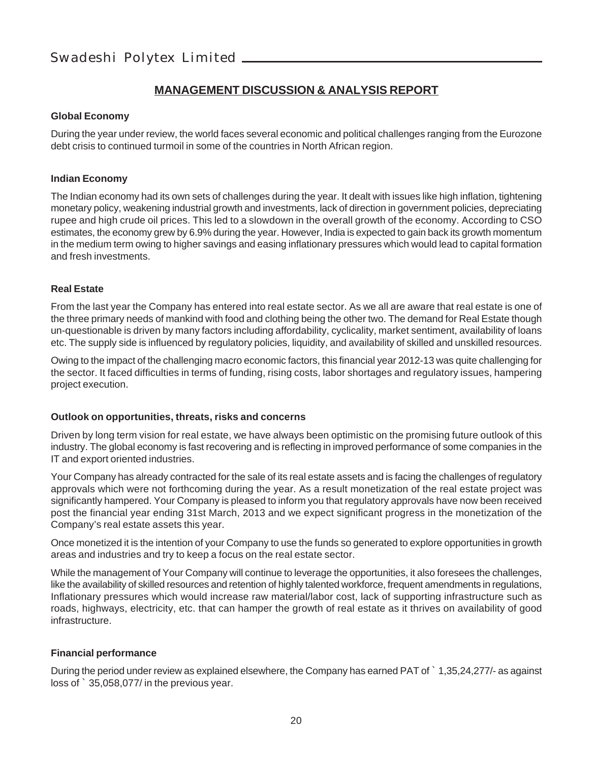#### **MANAGEMENT DISCUSSION & ANALYSIS REPORT**

#### **Global Economy**

During the year under review, the world faces several economic and political challenges ranging from the Eurozone debt crisis to continued turmoil in some of the countries in North African region.

#### **Indian Economy**

The Indian economy had its own sets of challenges during the year. It dealt with issues like high inflation, tightening monetary policy, weakening industrial growth and investments, lack of direction in government policies, depreciating rupee and high crude oil prices. This led to a slowdown in the overall growth of the economy. According to CSO estimates, the economy grew by 6.9% during the year. However, India is expected to gain back its growth momentum in the medium term owing to higher savings and easing inflationary pressures which would lead to capital formation and fresh investments.

#### **Real Estate**

From the last year the Company has entered into real estate sector. As we all are aware that real estate is one of the three primary needs of mankind with food and clothing being the other two. The demand for Real Estate though un-questionable is driven by many factors including affordability, cyclicality, market sentiment, availability of loans etc. The supply side is influenced by regulatory policies, liquidity, and availability of skilled and unskilled resources.

Owing to the impact of the challenging macro economic factors, this financial year 2012-13 was quite challenging for the sector. It faced difficulties in terms of funding, rising costs, labor shortages and regulatory issues, hampering project execution.

#### **Outlook on opportunities, threats, risks and concerns**

Driven by long term vision for real estate, we have always been optimistic on the promising future outlook of this industry. The global economy is fast recovering and is reflecting in improved performance of some companies in the IT and export oriented industries.

Your Company has already contracted for the sale of its real estate assets and is facing the challenges of regulatory approvals which were not forthcoming during the year. As a result monetization of the real estate project was significantly hampered. Your Company is pleased to inform you that regulatory approvals have now been received post the financial year ending 31st March, 2013 and we expect significant progress in the monetization of the Company's real estate assets this year.

Once monetized it is the intention of your Company to use the funds so generated to explore opportunities in growth areas and industries and try to keep a focus on the real estate sector.

While the management of Your Company will continue to leverage the opportunities, it also foresees the challenges, like the availability of skilled resources and retention of highly talented workforce, frequent amendments in regulations, Inflationary pressures which would increase raw material/labor cost, lack of supporting infrastructure such as roads, highways, electricity, etc. that can hamper the growth of real estate as it thrives on availability of good infrastructure.

#### **Financial performance**

During the period under review as explained elsewhere, the Company has earned PAT of ` 1,35,24,277/- as against loss of ` 35,058,077/ in the previous year.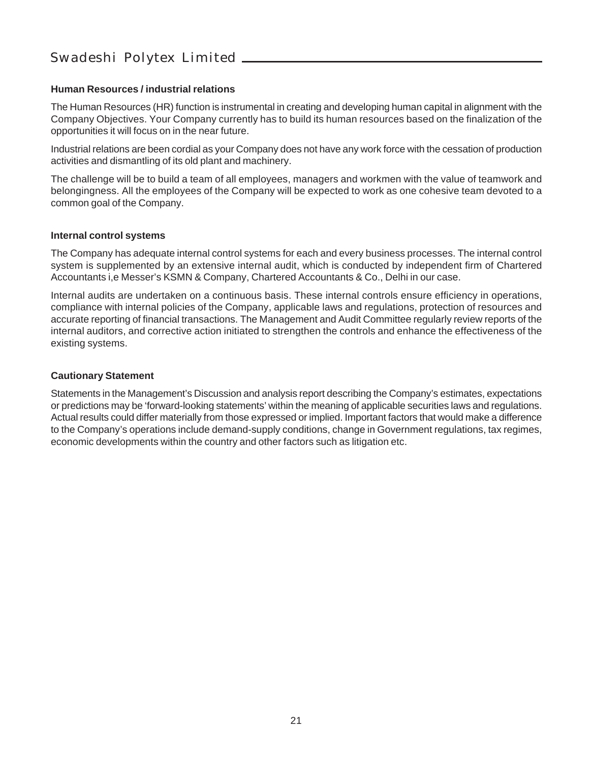#### **Human Resources / industrial relations**

The Human Resources (HR) function is instrumental in creating and developing human capital in alignment with the Company Objectives. Your Company currently has to build its human resources based on the finalization of the opportunities it will focus on in the near future.

Industrial relations are been cordial as your Company does not have any work force with the cessation of production activities and dismantling of its old plant and machinery.

The challenge will be to build a team of all employees, managers and workmen with the value of teamwork and belongingness. All the employees of the Company will be expected to work as one cohesive team devoted to a common goal of the Company.

#### **Internal control systems**

The Company has adequate internal control systems for each and every business processes. The internal control system is supplemented by an extensive internal audit, which is conducted by independent firm of Chartered Accountants i,e Messer's KSMN & Company, Chartered Accountants & Co., Delhi in our case.

Internal audits are undertaken on a continuous basis. These internal controls ensure efficiency in operations, compliance with internal policies of the Company, applicable laws and regulations, protection of resources and accurate reporting of financial transactions. The Management and Audit Committee regularly review reports of the internal auditors, and corrective action initiated to strengthen the controls and enhance the effectiveness of the existing systems.

#### **Cautionary Statement**

Statements in the Management's Discussion and analysis report describing the Company's estimates, expectations or predictions may be 'forward-looking statements' within the meaning of applicable securities laws and regulations. Actual results could differ materially from those expressed or implied. Important factors that would make a difference to the Company's operations include demand-supply conditions, change in Government regulations, tax regimes, economic developments within the country and other factors such as litigation etc.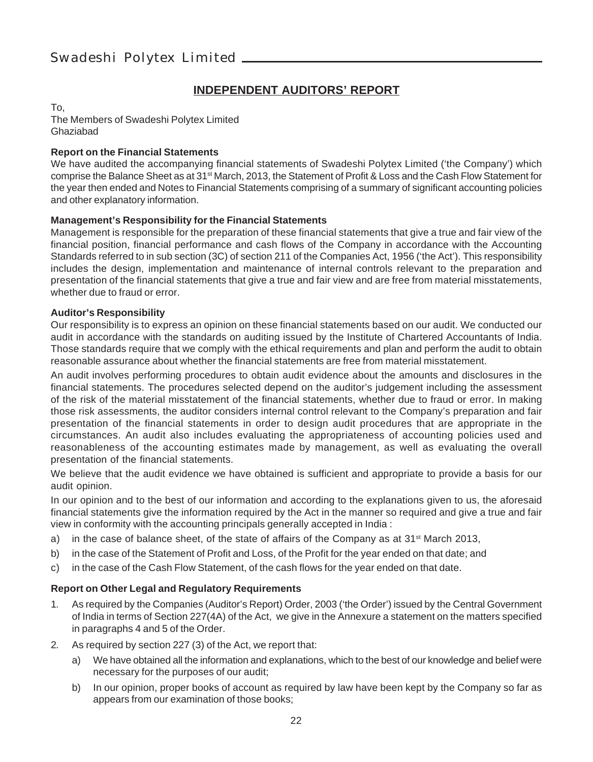#### **INDEPENDENT AUDITORS' REPORT**

To,

The Members of Swadeshi Polytex Limited Ghaziabad

#### **Report on the Financial Statements**

We have audited the accompanying financial statements of Swadeshi Polytex Limited ('the Company') which comprise the Balance Sheet as at 31<sup>st</sup> March, 2013, the Statement of Profit & Loss and the Cash Flow Statement for the year then ended and Notes to Financial Statements comprising of a summary of significant accounting policies and other explanatory information.

#### **Management's Responsibility for the Financial Statements**

Management is responsible for the preparation of these financial statements that give a true and fair view of the financial position, financial performance and cash flows of the Company in accordance with the Accounting Standards referred to in sub section (3C) of section 211 of the Companies Act, 1956 ('the Act'). This responsibility includes the design, implementation and maintenance of internal controls relevant to the preparation and presentation of the financial statements that give a true and fair view and are free from material misstatements, whether due to fraud or error.

#### **Auditor's Responsibility**

Our responsibility is to express an opinion on these financial statements based on our audit. We conducted our audit in accordance with the standards on auditing issued by the Institute of Chartered Accountants of India. Those standards require that we comply with the ethical requirements and plan and perform the audit to obtain reasonable assurance about whether the financial statements are free from material misstatement.

An audit involves performing procedures to obtain audit evidence about the amounts and disclosures in the financial statements. The procedures selected depend on the auditor's judgement including the assessment of the risk of the material misstatement of the financial statements, whether due to fraud or error. In making those risk assessments, the auditor considers internal control relevant to the Company's preparation and fair presentation of the financial statements in order to design audit procedures that are appropriate in the circumstances. An audit also includes evaluating the appropriateness of accounting policies used and reasonableness of the accounting estimates made by management, as well as evaluating the overall presentation of the financial statements.

We believe that the audit evidence we have obtained is sufficient and appropriate to provide a basis for our audit opinion.

In our opinion and to the best of our information and according to the explanations given to us, the aforesaid financial statements give the information required by the Act in the manner so required and give a true and fair view in conformity with the accounting principals generally accepted in India :

- a) in the case of balance sheet, of the state of affairs of the Company as at  $31^{st}$  March 2013,
- b) in the case of the Statement of Profit and Loss, of the Profit for the year ended on that date; and
- c) in the case of the Cash Flow Statement, of the cash flows for the year ended on that date.

#### **Report on Other Legal and Regulatory Requirements**

- 1. As required by the Companies (Auditor's Report) Order, 2003 ('the Order') issued by the Central Government of India in terms of Section 227(4A) of the Act, we give in the Annexure a statement on the matters specified in paragraphs 4 and 5 of the Order.
- 2. As required by section 227 (3) of the Act, we report that:
	- a) We have obtained all the information and explanations, which to the best of our knowledge and belief were necessary for the purposes of our audit;
	- b) In our opinion, proper books of account as required by law have been kept by the Company so far as appears from our examination of those books;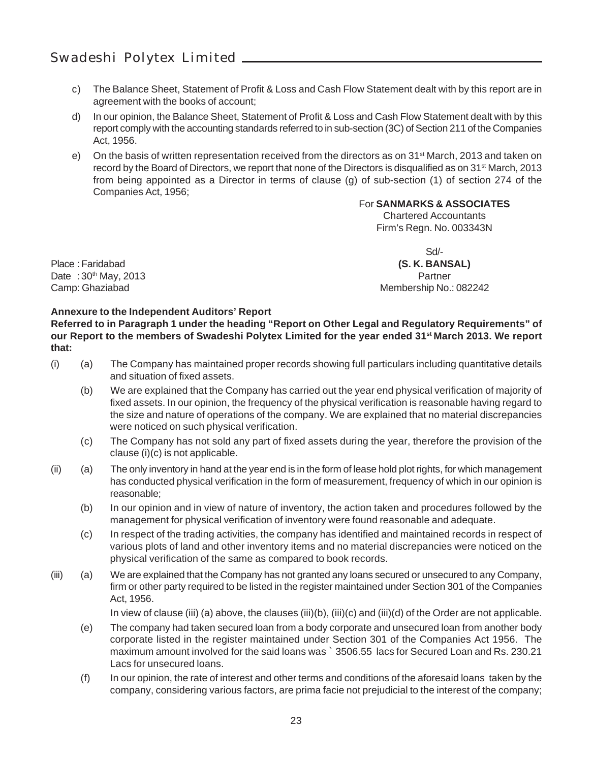- c) The Balance Sheet, Statement of Profit & Loss and Cash Flow Statement dealt with by this report are in agreement with the books of account;
- d) In our opinion, the Balance Sheet, Statement of Profit & Loss and Cash Flow Statement dealt with by this report comply with the accounting standards referred to in sub-section (3C) of Section 211 of the Companies Act, 1956.
- e) On the basis of written representation received from the directors as on  $31<sup>st</sup>$  March, 2013 and taken on record by the Board of Directors, we report that none of the Directors is disqualified as on 31<sup>st</sup> March, 2013 from being appointed as a Director in terms of clause (g) of sub-section (1) of section 274 of the Companies Act, 1956;

#### For **SANMARKS & ASSOCIATES**

Chartered Accountants Firm's Regn. No. 003343N

Place :Faridabad **(S. K. BANSAL)** Date : 30<sup>th</sup> May, 2013 **Partner Partner Partner Partner** Camp: Ghaziabad Membership No.: 082242

Sd/-

#### **Annexure to the Independent Auditors' Report**

**Referred to in Paragraph 1 under the heading "Report on Other Legal and Regulatory Requirements" of** our Report to the members of Swadeshi Polytex Limited for the year ended 31<sup>st</sup> March 2013. We report **that:**

- (i) (a) The Company has maintained proper records showing full particulars including quantitative details and situation of fixed assets.
	- (b) We are explained that the Company has carried out the year end physical verification of majority of fixed assets. In our opinion, the frequency of the physical verification is reasonable having regard to the size and nature of operations of the company. We are explained that no material discrepancies were noticed on such physical verification.
	- (c) The Company has not sold any part of fixed assets during the year, therefore the provision of the clause (i)(c) is not applicable.
- (ii) (a) The only inventory in hand at the year end is in the form of lease hold plot rights, for which management has conducted physical verification in the form of measurement, frequency of which in our opinion is reasonable;
	- (b) In our opinion and in view of nature of inventory, the action taken and procedures followed by the management for physical verification of inventory were found reasonable and adequate.
	- (c) In respect of the trading activities, the company has identified and maintained records in respect of various plots of land and other inventory items and no material discrepancies were noticed on the physical verification of the same as compared to book records.
- (iii) (a) We are explained that the Company has not granted any loans secured or unsecured to any Company, firm or other party required to be listed in the register maintained under Section 301 of the Companies Act, 1956.

In view of clause (iii) (a) above, the clauses (iii)(b), (iii)(c) and (iii)(d) of the Order are not applicable.

- (e) The company had taken secured loan from a body corporate and unsecured loan from another body corporate listed in the register maintained under Section 301 of the Companies Act 1956. The maximum amount involved for the said loans was ` 3506.55 lacs for Secured Loan and Rs. 230.21 Lacs for unsecured loans.
- (f) In our opinion, the rate of interest and other terms and conditions of the aforesaid loans taken by the company, considering various factors, are prima facie not prejudicial to the interest of the company;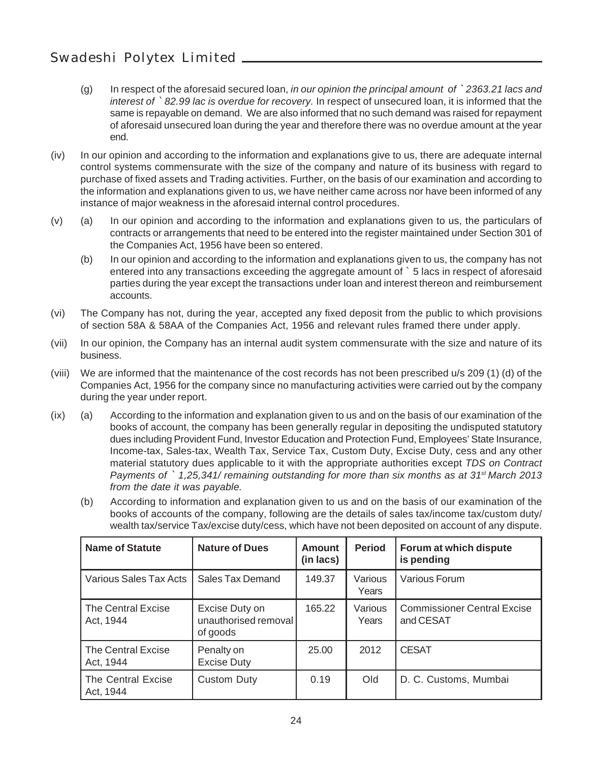- (g) In respect of the aforesaid secured loan, *in our opinion the principal amount of* ` *2363.21 lacs and interest of* ` *82.99 lac is overdue for recovery.* In respect of unsecured loan, it is informed that the same is repayable on demand. We are also informed that no such demand was raised for repayment of aforesaid unsecured loan during the year and therefore there was no overdue amount at the year end.
- (iv) In our opinion and according to the information and explanations give to us, there are adequate internal control systems commensurate with the size of the company and nature of its business with regard to purchase of fixed assets and Trading activities. Further, on the basis of our examination and according to the information and explanations given to us, we have neither came across nor have been informed of any instance of major weakness in the aforesaid internal control procedures.
- (v) (a) In our opinion and according to the information and explanations given to us, the particulars of contracts or arrangements that need to be entered into the register maintained under Section 301 of the Companies Act, 1956 have been so entered.
	- (b) In our opinion and according to the information and explanations given to us, the company has not entered into any transactions exceeding the aggregate amount of ` 5 lacs in respect of aforesaid parties during the year except the transactions under loan and interest thereon and reimbursement accounts.
- (vi) The Company has not, during the year, accepted any fixed deposit from the public to which provisions of section 58A & 58AA of the Companies Act, 1956 and relevant rules framed there under apply.
- (vii) In our opinion, the Company has an internal audit system commensurate with the size and nature of its business.
- (viii) We are informed that the maintenance of the cost records has not been prescribed u/s 209 (1) (d) of the Companies Act, 1956 for the company since no manufacturing activities were carried out by the company during the year under report.
- (ix) (a) According to the information and explanation given to us and on the basis of our examination of the books of account, the company has been generally regular in depositing the undisputed statutory dues including Provident Fund, Investor Education and Protection Fund, Employees' State Insurance, Income-tax, Sales-tax, Wealth Tax, Service Tax, Custom Duty, Excise Duty, cess and any other material statutory dues applicable to it with the appropriate authorities except *TDS on Contract Payments of `1,25,341/ remaining outstanding for more than six months as at 31<sup>st</sup> March 2013 from the date it was payable.*
	- (b) According to information and explanation given to us and on the basis of our examination of the books of accounts of the company, following are the details of sales tax/income tax/custom duty/ wealth tax/service Tax/excise duty/cess, which have not been deposited on account of any dispute.

| <b>Name of Statute</b>          | <b>Nature of Dues</b>                              | Amount<br>(in lacs) | Period           | Forum at which dispute<br>is pending            |
|---------------------------------|----------------------------------------------------|---------------------|------------------|-------------------------------------------------|
| Various Sales Tax Acts          | Sales Tax Demand                                   | 149.37              | Various<br>Years | Various Forum                                   |
| The Central Excise<br>Act. 1944 | Excise Duty on<br>unauthorised removal<br>of goods | 165.22              | Various<br>Years | <b>Commissioner Central Excise</b><br>and CESAT |
| The Central Excise<br>Act, 1944 | Penalty on<br><b>Excise Duty</b>                   | 25.00               | 2012             | <b>CESAT</b>                                    |
| The Central Excise<br>Act. 1944 | Custom Duty                                        | 0.19                | Old              | D. C. Customs, Mumbai                           |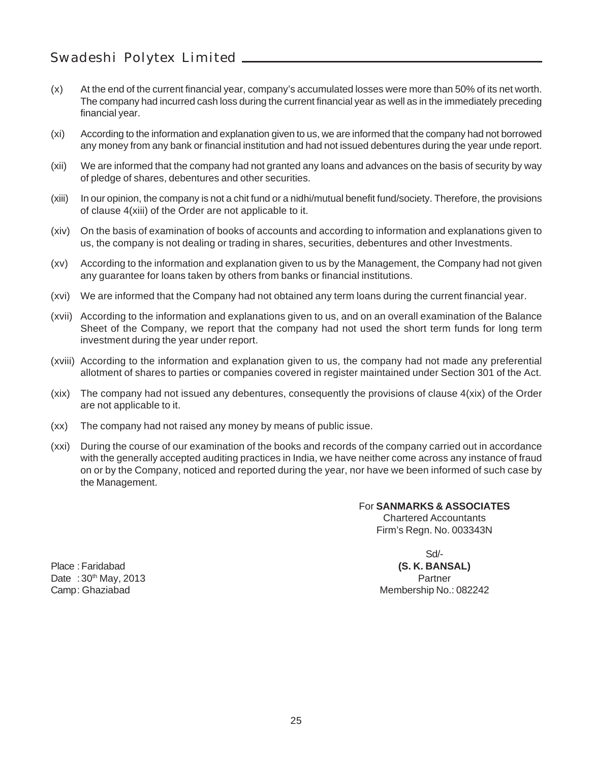- (x) At the end of the current financial year, company's accumulated losses were more than 50% of its net worth. The company had incurred cash loss during the current financial year as well as in the immediately preceding financial year.
- (xi) According to the information and explanation given to us, we are informed that the company had not borrowed any money from any bank or financial institution and had not issued debentures during the year unde report.
- (xii) We are informed that the company had not granted any loans and advances on the basis of security by way of pledge of shares, debentures and other securities.
- (xiii) In our opinion, the company is not a chit fund or a nidhi/mutual benefit fund/society. Therefore, the provisions of clause 4(xiii) of the Order are not applicable to it.
- (xiv) On the basis of examination of books of accounts and according to information and explanations given to us, the company is not dealing or trading in shares, securities, debentures and other Investments.
- (xv) According to the information and explanation given to us by the Management, the Company had not given any guarantee for loans taken by others from banks or financial institutions.
- (xvi) We are informed that the Company had not obtained any term loans during the current financial year.
- (xvii) According to the information and explanations given to us, and on an overall examination of the Balance Sheet of the Company, we report that the company had not used the short term funds for long term investment during the year under report.
- (xviii) According to the information and explanation given to us, the company had not made any preferential allotment of shares to parties or companies covered in register maintained under Section 301 of the Act.
- (xix) The company had not issued any debentures, consequently the provisions of clause 4(xix) of the Order are not applicable to it.
- (xx) The company had not raised any money by means of public issue.
- (xxi) During the course of our examination of the books and records of the company carried out in accordance with the generally accepted auditing practices in India, we have neither come across any instance of fraud on or by the Company, noticed and reported during the year, nor have we been informed of such case by the Management.

For **SANMARKS & ASSOCIATES** Chartered Accountants Firm's Regn. No. 003343N

Sd/-

Place :Faridabad **(S. K. BANSAL)** Camp: Ghaziabad Membership No.: 082242

Date : 30<sup>th</sup> May, 2013 **Partner Partner Partner**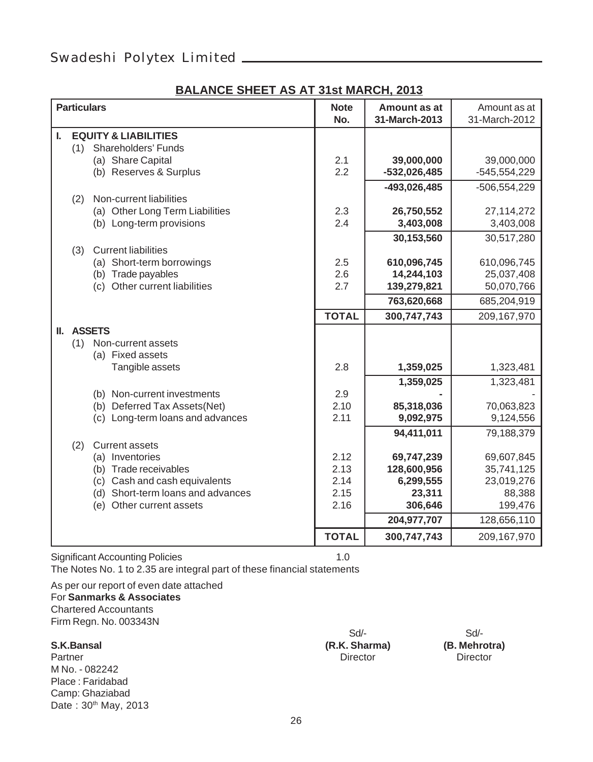#### **BALANCE SHEET AS AT 31st MARCH, 2013**

|    | <b>Particulars</b> |                                   | <b>Note</b>  | Amount as at   | Amount as at   |
|----|--------------------|-----------------------------------|--------------|----------------|----------------|
|    |                    |                                   | No.          | 31-March-2013  | 31-March-2012  |
|    |                    |                                   |              |                |                |
| L. |                    | <b>EQUITY &amp; LIABILITIES</b>   |              |                |                |
|    | (1)                | Shareholders' Funds               |              |                |                |
|    |                    | (a) Share Capital                 | 2.1          | 39,000,000     | 39,000,000     |
|    |                    | (b) Reserves & Surplus            | 2.2          | $-532,026,485$ | -545,554,229   |
|    |                    |                                   |              | -493,026,485   | $-506,554,229$ |
|    | (2)                | Non-current liabilities           |              |                |                |
|    |                    |                                   |              |                |                |
|    |                    | (a) Other Long Term Liabilities   | 2.3          | 26,750,552     | 27, 114, 272   |
|    |                    | (b) Long-term provisions          | 2.4          | 3,403,008      | 3,403,008      |
|    |                    |                                   |              | 30,153,560     | 30,517,280     |
|    | (3)                | <b>Current liabilities</b>        |              |                |                |
|    |                    | (a) Short-term borrowings         | 2.5          | 610,096,745    | 610,096,745    |
|    |                    | (b) Trade payables                | 2.6          | 14,244,103     | 25,037,408     |
|    |                    | (c) Other current liabilities     | 2.7          | 139,279,821    | 50,070,766     |
|    |                    |                                   |              |                |                |
|    |                    |                                   |              | 763,620,668    | 685,204,919    |
|    |                    |                                   | <b>TOTAL</b> | 300,747,743    | 209,167,970    |
|    |                    | II. ASSETS                        |              |                |                |
|    | (1)                | Non-current assets                |              |                |                |
|    |                    | (a) Fixed assets                  |              |                |                |
|    |                    | Tangible assets                   | 2.8          | 1,359,025      |                |
|    |                    |                                   |              |                | 1,323,481      |
|    |                    |                                   |              | 1,359,025      | 1,323,481      |
|    |                    | (b) Non-current investments       | 2.9          |                |                |
|    |                    | (b) Deferred Tax Assets(Net)      | 2.10         | 85,318,036     | 70,063,823     |
|    |                    | (c) Long-term loans and advances  | 2.11         | 9,092,975      | 9,124,556      |
|    |                    |                                   |              | 94,411,011     | 79,188,379     |
|    | (2)                | <b>Current assets</b>             |              |                |                |
|    |                    |                                   | 2.12         | 69,747,239     |                |
|    |                    | (a) Inventories                   |              |                | 69,607,845     |
|    |                    | (b) Trade receivables             | 2.13         | 128,600,956    | 35,741,125     |
|    |                    | (c) Cash and cash equivalents     | 2.14         | 6,299,555      | 23,019,276     |
|    |                    | (d) Short-term loans and advances | 2.15         | 23,311         | 88,388         |
|    |                    | (e) Other current assets          | 2.16         | 306,646        | 199,476        |
|    |                    |                                   |              | 204,977,707    | 128,656,110    |
|    |                    |                                   | <b>TOTAL</b> | 300,747,743    | 209,167,970    |

Significant Accounting Policies 1.0 The Notes No. 1 to 2.35 are integral part of these financial statements

As per our report of even date attached For **Sanmarks & Associates** Chartered Accountants Firm Regn. No. 003343N

Partner Director Director Director Director Director Director M No. - 082242 Place : Faridabad Camp: Ghaziabad Date: 30<sup>th</sup> May, 2013

**S.K.Bansal (R.K. Sharma) (B. Mehrotra)**

Sd/-<br>
Sharma) (B. Mehrotra)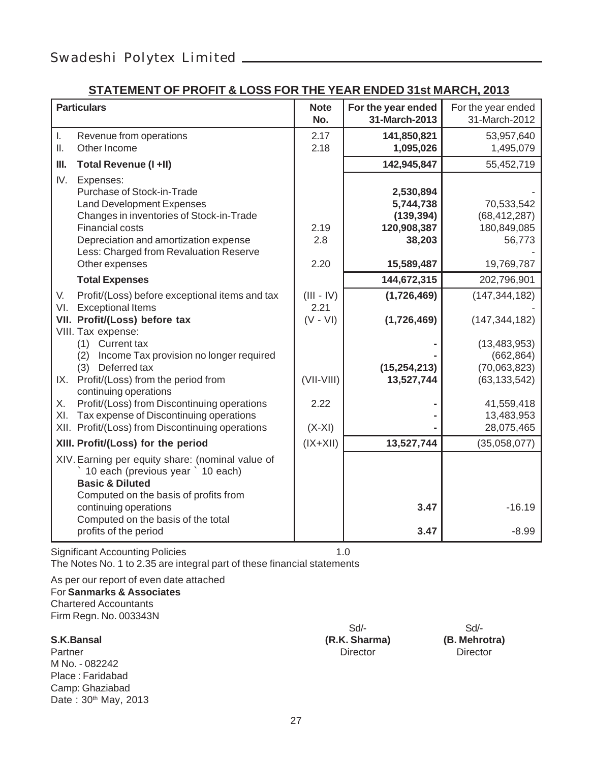#### **STATEMENT OF PROFIT & LOSS FOR THE YEAR ENDED 31st MARCH, 2013**

| <b>Particulars</b>                                                                                                                                                                                                                                   |                                    | For the year ended<br>31-March-2013                           | For the year ended<br>31-March-2012                   |
|------------------------------------------------------------------------------------------------------------------------------------------------------------------------------------------------------------------------------------------------------|------------------------------------|---------------------------------------------------------------|-------------------------------------------------------|
| I.<br>Revenue from operations<br>Other Income<br>Ш.                                                                                                                                                                                                  | 2.17<br>2.18                       | 141,850,821<br>1,095,026                                      | 53,957,640<br>1,495,079                               |
| Ш.<br>Total Revenue (I +II)                                                                                                                                                                                                                          |                                    | 142,945,847                                                   | 55,452,719                                            |
| IV.<br>Expenses:<br>Purchase of Stock-in-Trade<br><b>Land Development Expenses</b><br>Changes in inventories of Stock-in-Trade<br><b>Financial costs</b><br>Depreciation and amortization expense<br>Less: Charged from Revaluation Reserve          | 2.19<br>2.8                        | 2,530,894<br>5,744,738<br>(139, 394)<br>120,908,387<br>38,203 | 70,533,542<br>(68, 412, 287)<br>180,849,085<br>56,773 |
| Other expenses                                                                                                                                                                                                                                       | 2.20                               | 15,589,487                                                    | 19,769,787                                            |
| <b>Total Expenses</b>                                                                                                                                                                                                                                |                                    | 144,672,315                                                   | 202,796,901                                           |
| Profit/(Loss) before exceptional items and tax<br>V.<br><b>Exceptional Items</b><br>VI.<br>VII. Profit/(Loss) before tax<br>VIII. Tax expense:                                                                                                       | $(III - IV)$<br>2.21<br>$(V - VI)$ | (1,726,469)<br>(1,726,469)                                    | (147, 344, 182)<br>(147, 344, 182)                    |
| (1) Current tax<br>(2) Income Tax provision no longer required                                                                                                                                                                                       |                                    |                                                               | (13, 483, 953)<br>(662, 864)                          |
| (3) Deferred tax                                                                                                                                                                                                                                     |                                    | (15, 254, 213)                                                | (70,063,823)                                          |
| IX. Profit/(Loss) from the period from<br>continuing operations                                                                                                                                                                                      | $(VII-VIII)$                       | 13,527,744                                                    | (63, 133, 542)                                        |
| Profit/(Loss) from Discontinuing operations<br>Х.<br>Tax expense of Discontinuing operations<br>XI.                                                                                                                                                  | 2.22                               |                                                               | 41,559,418<br>13,483,953                              |
| XII. Profit/(Loss) from Discontinuing operations                                                                                                                                                                                                     | $(X-XI)$                           |                                                               | 28,075,465                                            |
| XIII. Profit/(Loss) for the period                                                                                                                                                                                                                   | $(IX+XII)$                         | 13,527,744                                                    | (35,058,077)                                          |
| XIV. Earning per equity share: (nominal value of<br>10 each (previous year ` 10 each)<br><b>Basic &amp; Diluted</b><br>Computed on the basis of profits from<br>continuing operations<br>Computed on the basis of the total<br>profits of the period |                                    | 3.47<br>3.47                                                  | $-16.19$<br>$-8.99$                                   |

Significant Accounting Policies 1.0 The Notes No. 1 to 2.35 are integral part of these financial statements

As per our report of even date attached For **Sanmarks & Associates** Chartered Accountants Firm Regn. No. 003343N

|                      | Sd            | Sd              |
|----------------------|---------------|-----------------|
| S.K.Bansal           | (R.K. Sharma) | (B. Mehrotra)   |
| Partner              | Director      | <b>Director</b> |
| M No. - 082242       |               |                 |
| Place: Faridabad     |               |                 |
| Camp: Ghaziabad      |               |                 |
| Date: 30th May, 2013 |               |                 |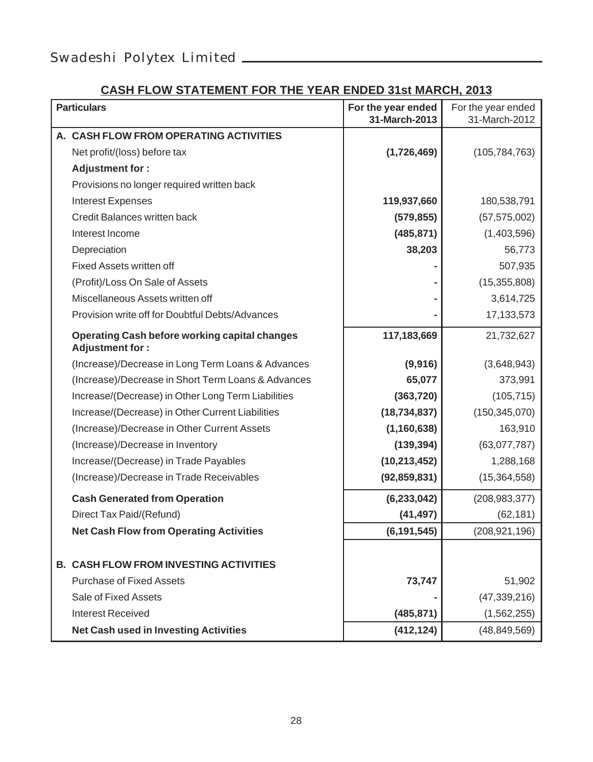#### **CASH FLOW STATEMENT FOR THE YEAR ENDED 31st MARCH, 2013**

| <b>Particulars</b>                                                      | For the year ended<br>31-March-2013 | For the year ended<br>31-March-2012 |
|-------------------------------------------------------------------------|-------------------------------------|-------------------------------------|
| A. CASH FLOW FROM OPERATING ACTIVITIES                                  |                                     |                                     |
| Net profit/(loss) before tax                                            | (1,726,469)                         | (105, 784, 763)                     |
| Adjustment for:                                                         |                                     |                                     |
| Provisions no longer required written back                              |                                     |                                     |
| Interest Expenses                                                       | 119,937,660                         | 180,538,791                         |
| Credit Balances written back                                            | (579, 855)                          | (57, 575, 002)                      |
| Interest Income                                                         | (485, 871)                          | (1,403,596)                         |
| Depreciation                                                            | 38,203                              | 56,773                              |
| Fixed Assets written off                                                |                                     | 507,935                             |
| (Profit)/Loss On Sale of Assets                                         |                                     | (15, 355, 808)                      |
| Miscellaneous Assets written off                                        |                                     | 3,614,725                           |
| Provision write off for Doubtful Debts/Advances                         |                                     | 17, 133, 573                        |
| Operating Cash before working capital changes<br><b>Adjustment for:</b> | 117,183,669                         | 21,732,627                          |
| (Increase)/Decrease in Long Term Loans & Advances                       | (9,916)                             | (3,648,943)                         |
| (Increase)/Decrease in Short Term Loans & Advances                      | 65,077                              | 373,991                             |
| Increase/(Decrease) in Other Long Term Liabilities                      | (363, 720)                          | (105, 715)                          |
| Increase/(Decrease) in Other Current Liabilities                        | (18, 734, 837)                      | (150, 345, 070)                     |
| (Increase)/Decrease in Other Current Assets                             | (1, 160, 638)                       | 163,910                             |
| (Increase)/Decrease in Inventory                                        | (139, 394)                          | (63,077,787)                        |
| Increase/(Decrease) in Trade Payables                                   | (10, 213, 452)                      | 1,288,168                           |
| (Increase)/Decrease in Trade Receivables                                | (92, 859, 831)                      | (15, 364, 558)                      |
| <b>Cash Generated from Operation</b>                                    | (6, 233, 042)                       | (208, 983, 377)                     |
| Direct Tax Paid/(Refund)                                                | (41, 497)                           | (62, 181)                           |
| <b>Net Cash Flow from Operating Activities</b>                          | (6, 191, 545)                       | (208, 921, 196)                     |
| <b>B. CASH FLOW FROM INVESTING ACTIVITIES</b>                           |                                     |                                     |
| <b>Purchase of Fixed Assets</b>                                         | 73,747                              | 51,902                              |
| Sale of Fixed Assets                                                    |                                     | (47, 339, 216)                      |
| <b>Interest Received</b>                                                | (485, 871)                          | (1, 562, 255)                       |
| <b>Net Cash used in Investing Activities</b>                            | (412, 124)                          | (48, 849, 569)                      |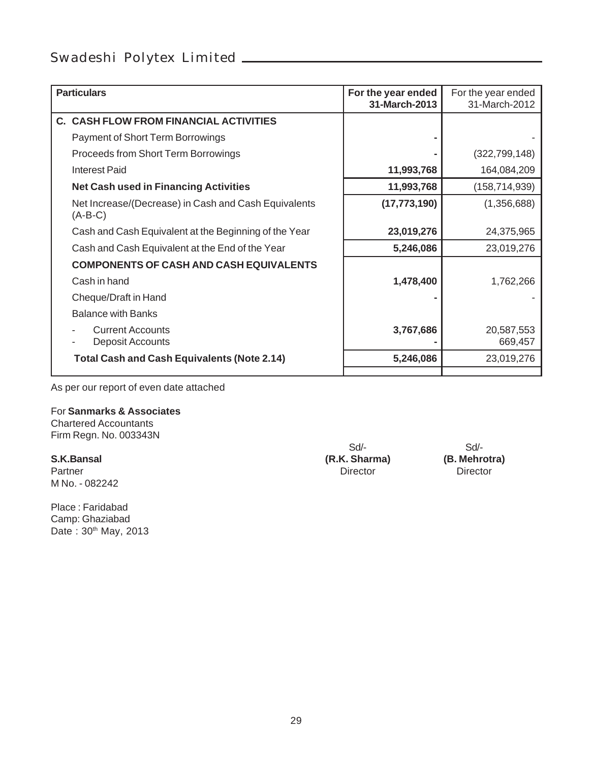| <b>Particulars</b>                                                | For the year ended<br>31-March-2013 | For the year ended<br>31-March-2012 |
|-------------------------------------------------------------------|-------------------------------------|-------------------------------------|
| C. CASH FLOW FROM FINANCIAL ACTIVITIES                            |                                     |                                     |
| Payment of Short Term Borrowings                                  |                                     |                                     |
| Proceeds from Short Term Borrowings                               |                                     | (322, 799, 148)                     |
| Interest Paid                                                     | 11,993,768                          | 164,084,209                         |
| <b>Net Cash used in Financing Activities</b>                      | 11,993,768                          | (158, 714, 939)                     |
| Net Increase/(Decrease) in Cash and Cash Equivalents<br>$(A-B-C)$ | (17, 773, 190)                      | (1,356,688)                         |
| Cash and Cash Equivalent at the Beginning of the Year             | 23,019,276                          | 24,375,965                          |
| Cash and Cash Equivalent at the End of the Year                   | 5,246,086                           | 23,019,276                          |
| <b>COMPONENTS OF CASH AND CASH EQUIVALENTS</b>                    |                                     |                                     |
| Cash in hand                                                      | 1,478,400                           | 1,762,266                           |
| Cheque/Draft in Hand                                              |                                     |                                     |
| <b>Balance with Banks</b>                                         |                                     |                                     |
| <b>Current Accounts</b><br>Deposit Accounts                       | 3,767,686                           | 20,587,553<br>669,457               |
| <b>Total Cash and Cash Equivalents (Note 2.14)</b>                | 5,246,086                           | 23,019,276                          |
|                                                                   |                                     |                                     |

As per our report of even date attached

#### For **Sanmarks & Associates**

Chartered Accountants Firm Regn. No. 003343N

Partner Director Director Director Director Director Director Director Director M No. - 082242

Place : Faridabad Camp: Ghaziabad Date: 30th May, 2013

**S.K.Bansal (R.K. Sharma)** 

Sd/-<br>
Sharma) (B. Mehrotra)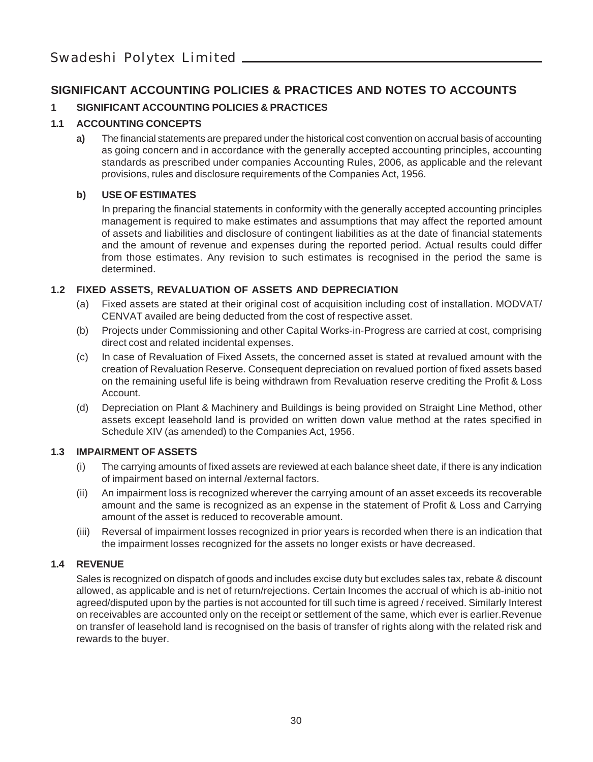#### **SIGNIFICANT ACCOUNTING POLICIES & PRACTICES AND NOTES TO ACCOUNTS**

#### **1 SIGNIFICANT ACCOUNTING POLICIES & PRACTICES**

#### **1.1 ACCOUNTING CONCEPTS**

**a)** The financial statements are prepared under the historical cost convention on accrual basis of accounting as going concern and in accordance with the generally accepted accounting principles, accounting standards as prescribed under companies Accounting Rules, 2006, as applicable and the relevant provisions, rules and disclosure requirements of the Companies Act, 1956.

#### **b) USE OF ESTIMATES**

In preparing the financial statements in conformity with the generally accepted accounting principles management is required to make estimates and assumptions that may affect the reported amount of assets and liabilities and disclosure of contingent liabilities as at the date of financial statements and the amount of revenue and expenses during the reported period. Actual results could differ from those estimates. Any revision to such estimates is recognised in the period the same is determined.

#### **1.2 FIXED ASSETS, REVALUATION OF ASSETS AND DEPRECIATION**

- (a) Fixed assets are stated at their original cost of acquisition including cost of installation. MODVAT/ CENVAT availed are being deducted from the cost of respective asset.
- (b) Projects under Commissioning and other Capital Works-in-Progress are carried at cost, comprising direct cost and related incidental expenses.
- (c) In case of Revaluation of Fixed Assets, the concerned asset is stated at revalued amount with the creation of Revaluation Reserve. Consequent depreciation on revalued portion of fixed assets based on the remaining useful life is being withdrawn from Revaluation reserve crediting the Profit & Loss Account.
- (d) Depreciation on Plant & Machinery and Buildings is being provided on Straight Line Method, other assets except leasehold land is provided on written down value method at the rates specified in Schedule XIV (as amended) to the Companies Act, 1956.

#### **1.3 IMPAIRMENT OF ASSETS**

- (i) The carrying amounts of fixed assets are reviewed at each balance sheet date, if there is any indication of impairment based on internal /external factors.
- (ii) An impairment loss is recognized wherever the carrying amount of an asset exceeds its recoverable amount and the same is recognized as an expense in the statement of Profit & Loss and Carrying amount of the asset is reduced to recoverable amount.
- (iii) Reversal of impairment losses recognized in prior years is recorded when there is an indication that the impairment losses recognized for the assets no longer exists or have decreased.

#### **1.4 REVENUE**

Sales is recognized on dispatch of goods and includes excise duty but excludes sales tax, rebate & discount allowed, as applicable and is net of return/rejections. Certain Incomes the accrual of which is ab-initio not agreed/disputed upon by the parties is not accounted for till such time is agreed / received. Similarly Interest on receivables are accounted only on the receipt or settlement of the same, which ever is earlier.Revenue on transfer of leasehold land is recognised on the basis of transfer of rights along with the related risk and rewards to the buyer.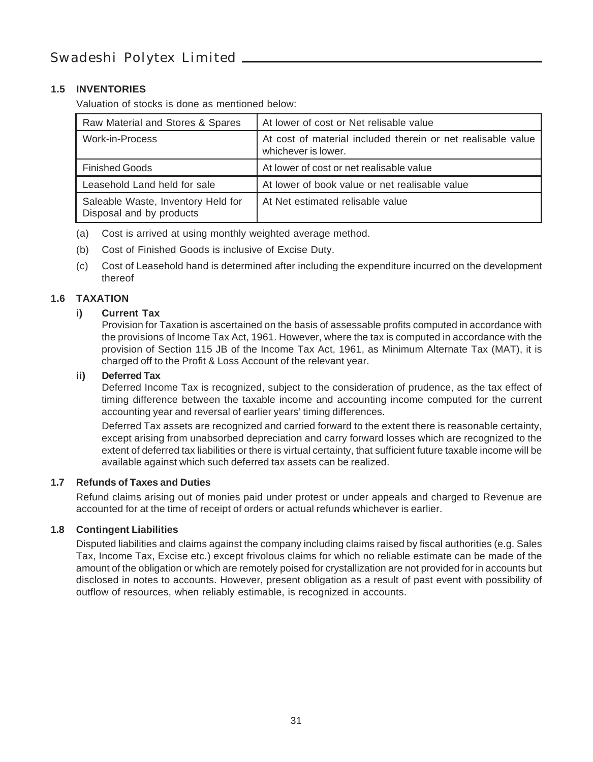#### **1.5 INVENTORIES**

Valuation of stocks is done as mentioned below:

| Raw Material and Stores & Spares                               | At lower of cost or Net relisable value                                             |
|----------------------------------------------------------------|-------------------------------------------------------------------------------------|
| Work-in-Process                                                | At cost of material included therein or net realisable value<br>whichever is lower. |
| <b>Finished Goods</b>                                          | At lower of cost or net realisable value                                            |
| Leasehold Land held for sale                                   | At lower of book value or net realisable value                                      |
| Saleable Waste, Inventory Held for<br>Disposal and by products | At Net estimated relisable value                                                    |

- (a) Cost is arrived at using monthly weighted average method.
- (b) Cost of Finished Goods is inclusive of Excise Duty.
- (c) Cost of Leasehold hand is determined after including the expenditure incurred on the development thereof

#### **1.6 TAXATION**

#### **i) Current Tax**

Provision for Taxation is ascertained on the basis of assessable profits computed in accordance with the provisions of Income Tax Act, 1961. However, where the tax is computed in accordance with the provision of Section 115 JB of the Income Tax Act, 1961, as Minimum Alternate Tax (MAT), it is charged off to the Profit & Loss Account of the relevant year.

#### **ii) Deferred Tax**

Deferred Income Tax is recognized, subject to the consideration of prudence, as the tax effect of timing difference between the taxable income and accounting income computed for the current accounting year and reversal of earlier years' timing differences.

Deferred Tax assets are recognized and carried forward to the extent there is reasonable certainty, except arising from unabsorbed depreciation and carry forward losses which are recognized to the extent of deferred tax liabilities or there is virtual certainty, that sufficient future taxable income will be available against which such deferred tax assets can be realized.

#### **1.7 Refunds of Taxes and Duties**

Refund claims arising out of monies paid under protest or under appeals and charged to Revenue are accounted for at the time of receipt of orders or actual refunds whichever is earlier.

#### **1.8 Contingent Liabilities**

Disputed liabilities and claims against the company including claims raised by fiscal authorities (e.g. Sales Tax, Income Tax, Excise etc.) except frivolous claims for which no reliable estimate can be made of the amount of the obligation or which are remotely poised for crystallization are not provided for in accounts but disclosed in notes to accounts. However, present obligation as a result of past event with possibility of outflow of resources, when reliably estimable, is recognized in accounts.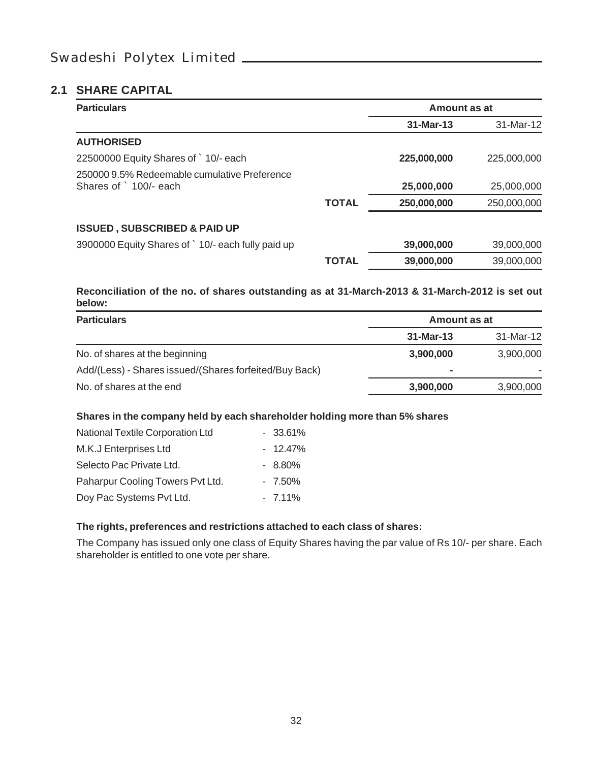#### **2.1 SHARE CAPITAL**

| <b>Particulars</b>                                                    |              | Amount as at |             |
|-----------------------------------------------------------------------|--------------|--------------|-------------|
|                                                                       |              | $31-Mar-13$  | 31-Mar-12   |
| <b>AUTHORISED</b>                                                     |              |              |             |
| 22500000 Equity Shares of `10/- each                                  |              | 225,000,000  | 225,000,000 |
| 250000 9.5% Redeemable cumulative Preference<br>Shares of `100/- each |              | 25,000,000   | 25,000,000  |
|                                                                       | <b>TOTAL</b> | 250,000,000  | 250,000,000 |
| <b>ISSUED, SUBSCRIBED &amp; PAID UP</b>                               |              |              |             |
| 3900000 Equity Shares of ` 10/- each fully paid up                    |              | 39,000,000   | 39,000,000  |
|                                                                       | ΤΟΤΑL        | 39,000,000   | 39,000,000  |

#### **Reconciliation of the no. of shares outstanding as at 31-March-2013 & 31-March-2012 is set out below:**

| <b>Particulars</b>                                     | Amount as at |           |
|--------------------------------------------------------|--------------|-----------|
|                                                        | 31-Mar-13    | 31-Mar-12 |
| No. of shares at the beginning                         | 3,900,000    | 3,900,000 |
| Add/(Less) - Shares issued/(Shares forfeited/Buy Back) | ۰            |           |
| No. of shares at the end                               | 3,900,000    | 3,900,000 |

#### **Shares in the company held by each shareholder holding more than 5% shares**

| National Textile Corporation Ltd | $-33.61%$ |
|----------------------------------|-----------|
| M.K.J Enterprises Ltd            | $-12.47%$ |
| Selecto Pac Private Ltd.         | $-8.80\%$ |
| Paharpur Cooling Towers Pvt Ltd. | $-7.50\%$ |
| Doy Pac Systems Pvt Ltd.         | $-7.11\%$ |

#### **The rights, preferences and restrictions attached to each class of shares:**

The Company has issued only one class of Equity Shares having the par value of Rs 10/- per share. Each shareholder is entitled to one vote per share.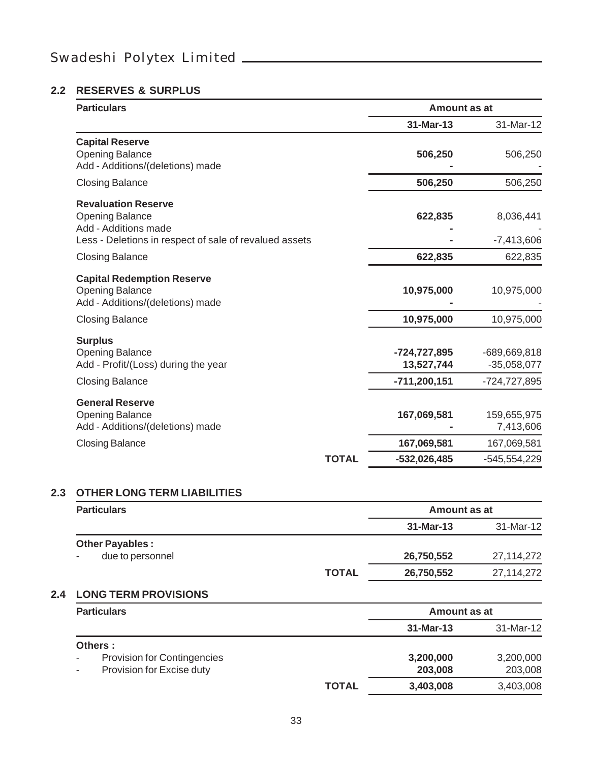#### **2.2 RESERVES & SURPLUS**

| <b>Particulars</b>                                                                                        |                                            | Amount as at                                  |
|-----------------------------------------------------------------------------------------------------------|--------------------------------------------|-----------------------------------------------|
|                                                                                                           | 31-Mar-13                                  | 31-Mar-12                                     |
| <b>Capital Reserve</b><br><b>Opening Balance</b><br>Add - Additions/(deletions) made                      | 506,250                                    | 506,250                                       |
| <b>Closing Balance</b>                                                                                    | 506,250                                    | 506,250                                       |
| <b>Revaluation Reserve</b><br>Opening Balance<br>Add - Additions made                                     | 622,835                                    | 8,036,441                                     |
| Less - Deletions in respect of sale of revalued assets                                                    |                                            | $-7,413,606$                                  |
| <b>Closing Balance</b>                                                                                    | 622,835                                    | 622,835                                       |
| <b>Capital Redemption Reserve</b><br>Opening Balance<br>Add - Additions/(deletions) made                  | 10,975,000                                 | 10,975,000                                    |
| <b>Closing Balance</b>                                                                                    | 10,975,000                                 | 10,975,000                                    |
| <b>Surplus</b><br><b>Opening Balance</b><br>Add - Profit/(Loss) during the year<br><b>Closing Balance</b> | -724,727,895<br>13,527,744<br>-711,200,151 | -689,669,818<br>$-35,058,077$<br>-724,727,895 |
| <b>General Reserve</b><br>Opening Balance<br>Add - Additions/(deletions) made                             | 167,069,581                                | 159,655,975<br>7,413,606                      |
| <b>Closing Balance</b>                                                                                    | 167,069,581                                | 167,069,581                                   |
|                                                                                                           | <b>TOTAL</b><br>-532,026,485               | -545,554,229                                  |

#### **2.3 OTHER LONG TERM LIABILITIES**

| <b>Particulars</b>              |              | Amount as at |            |
|---------------------------------|--------------|--------------|------------|
|                                 |              | 31-Mar-13    | 31-Mar-12  |
| <b>Other Payables:</b>          |              |              |            |
| due to personnel                |              | 26,750,552   | 27,114,272 |
|                                 | <b>TOTAL</b> | 26,750,552   | 27,114,272 |
| <b>2.4 LONG TERM PROVISIONS</b> |              |              |            |
| <b>Particulars</b>              |              | Amount as at |            |

|                                                                |              | 31-Mar-13 | 31-Mar-12 |
|----------------------------------------------------------------|--------------|-----------|-----------|
| Others :                                                       |              |           |           |
| <b>Provision for Contingencies</b><br>$\overline{\phantom{a}}$ |              | 3,200,000 | 3,200,000 |
| Provision for Excise duty<br>$\blacksquare$                    |              | 203,008   | 203,008   |
|                                                                | <b>TOTAL</b> | 3,403,008 | 3,403,008 |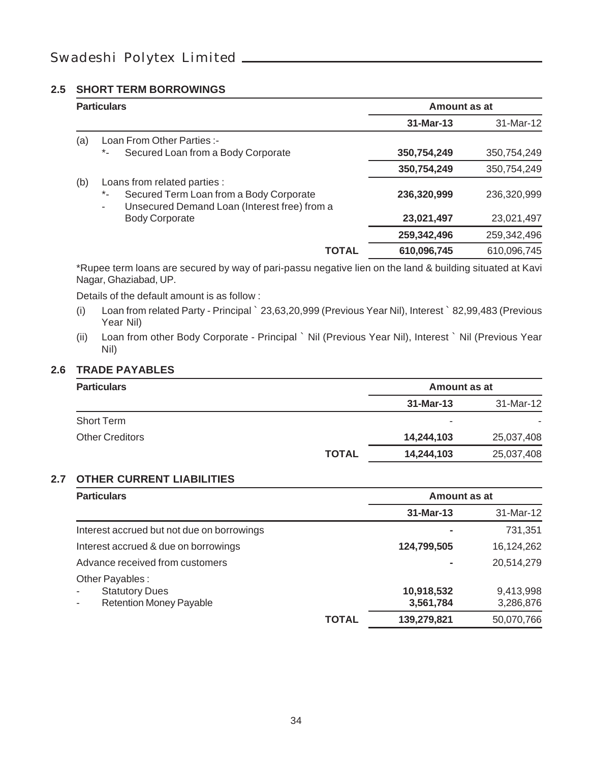#### **2.5 SHORT TERM BORROWINGS**

|     | <b>Particulars</b>                                                                                                               | Amount as at |             |
|-----|----------------------------------------------------------------------------------------------------------------------------------|--------------|-------------|
|     |                                                                                                                                  | 31-Mar-13    | 31-Mar-12   |
| (a) | Loan From Other Parties :-                                                                                                       |              |             |
|     | Secured Loan from a Body Corporate<br>$\star$ -                                                                                  | 350,754,249  | 350,754,249 |
|     |                                                                                                                                  | 350,754,249  | 350,754,249 |
| (b) | Loans from related parties :                                                                                                     |              |             |
|     | Secured Term Loan from a Body Corporate<br>$\star$ -<br>Unsecured Demand Loan (Interest free) from a<br>$\overline{\phantom{a}}$ | 236,320,999  | 236.320.999 |
|     | <b>Body Corporate</b>                                                                                                            | 23,021,497   | 23,021,497  |
|     |                                                                                                                                  | 259,342,496  | 259.342.496 |
|     | <b>TOTAL</b>                                                                                                                     | 610,096,745  | 610,096,745 |

\*Rupee term loans are secured by way of pari-passu negative lien on the land & building situated at Kavi Nagar, Ghaziabad, UP.

Details of the default amount is as follow :

- (i) Loan from related Party Principal ` 23,63,20,999 (Previous Year Nil), Interest ` 82,99,483 (Previous Year Nil)
- (ii) Loan from other Body Corporate Principal ` Nil (Previous Year Nil), Interest ` Nil (Previous Year Nil)

#### **2.6 TRADE PAYABLES**

| <b>Particulars</b>     |              | Amount as at             |            |
|------------------------|--------------|--------------------------|------------|
|                        |              | 31-Mar-13                | 31-Mar-12  |
| <b>Short Term</b>      |              | $\overline{\phantom{0}}$ |            |
| <b>Other Creditors</b> |              | 14,244,103               | 25,037,408 |
|                        | <b>TOTAL</b> | 14,244,103               | 25,037,408 |

#### **2.7 OTHER CURRENT LIABILITIES**

| <b>Particulars</b>                                                         |              | Amount as at            |                        |
|----------------------------------------------------------------------------|--------------|-------------------------|------------------------|
|                                                                            |              | 31-Mar-13               | 31-Mar-12              |
| Interest accrued but not due on borrowings                                 |              |                         | 731,351                |
| Interest accrued & due on borrowings                                       |              | 124,799,505             | 16,124,262             |
| Advance received from customers                                            |              |                         | 20.514.279             |
| Other Payables:<br><b>Statutory Dues</b><br><b>Retention Money Payable</b> |              | 10,918,532<br>3,561,784 | 9.413.998<br>3,286,876 |
|                                                                            | <b>TOTAL</b> | 139,279,821             | 50,070,766             |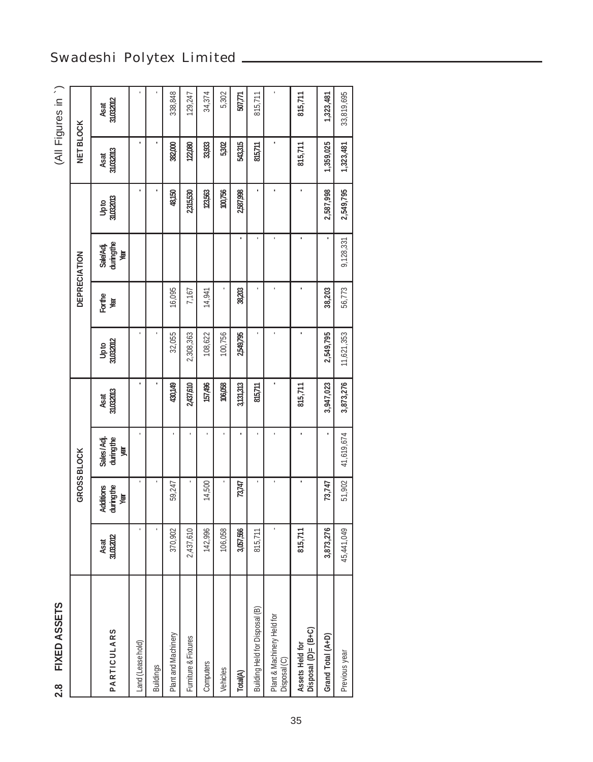| FIXED ASSETS<br>.<br>ನ                     |                    |                                |                              |                    |                  |                |                                |                  |                    | (All Figures in `) |
|--------------------------------------------|--------------------|--------------------------------|------------------------------|--------------------|------------------|----------------|--------------------------------|------------------|--------------------|--------------------|
|                                            |                    |                                | GROSS BLOCK                  |                    |                  |                | <b>DEPRECIATION</b>            |                  | <b>NET BLOCK</b>   |                    |
| <b>PARTICULARS</b>                         | 31,03,2012<br>Asat | Additions<br>duringthe<br>Year | Sales/Adj.<br>duringthe<br>阒 | 31,00,2013<br>Asat | Upto<br>31032012 | Forthe<br>Year | Sale/Adj.<br>duringthe<br>Year | կրեց<br>31032013 | 31,00,2013<br>Asat | 31.03.2012<br>Asat |
| Land (Lease hold)                          |                    |                                |                              |                    |                  |                |                                |                  |                    |                    |
| <b>Buildings</b>                           |                    |                                |                              |                    |                  |                |                                |                  |                    |                    |
| Plant and Machinery                        | 370,902            | 59,247                         |                              | 430,149            | 32,055           | 16,095         |                                | 48,150           | 382,000            | 338,848            |
| Furniture & Fixtures                       | 2,437,610          |                                |                              | 2,437,610          | 2,308,363        | 7,167          |                                | 2315,530         | 122,080            | 129,247            |
| Computers                                  | 142,996            | 14,500                         |                              | 157,496            | 108,622          | 14,941         |                                | 123,563          | 33,933             | 34,374             |
| Vehicles                                   | 106,058            |                                |                              | 106,058            | 100,756          |                |                                | 100,756          | 5302               | 5,302              |
| Total(A)                                   | 3,057,566          | 73,747                         |                              | 3,131,313          | 2,549,795        | 38,203         |                                | 2,587,998        | 543,315            | 507,771            |
| Building Held for Disposal (B)             | 815,711            |                                |                              | 815,711            |                  |                |                                |                  | 815,711            | 815,711            |
| Plant & Machinery Held for<br>Disposal (C) |                    |                                |                              |                    |                  |                |                                |                  |                    |                    |
| Disposal (D)= (B+C)<br>Assets Held for     | 815,711            |                                |                              | 815,711            |                  |                |                                |                  | 815,711            | 815,711            |
| Grand Total (A+D)                          | 3,873,276          | 73,747                         |                              | 3,947,023          | 2,549,795        | 38,203         |                                | 2,587,998        | 1,359,025          | 1,323,481          |
| Previous year                              | 45,441,049         | 51,902                         | 41,619,674                   | 3,873,276          | 11,621,353       | 56,773         | 9,128,331                      | 2,549,795        | 1,323,481          | 33,819,695         |

### Swadeshi Polytex Limited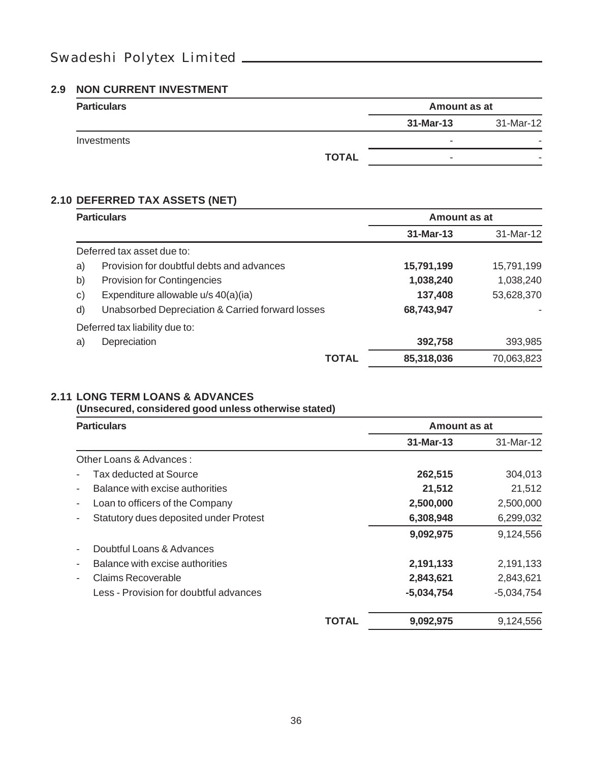#### **2.9 NON CURRENT INVESTMENT**

| <b>Particulars</b> |              | Amount as at             |                          |
|--------------------|--------------|--------------------------|--------------------------|
|                    |              | 31-Mar-13                | 31-Mar-12                |
| Investments        |              | $\overline{\phantom{0}}$ |                          |
|                    | <b>TOTAL</b> | $\overline{\phantom{0}}$ | $\overline{\phantom{0}}$ |

#### **2.10 DEFERRED TAX ASSETS (NET)**

|    | <b>Particulars</b>                               |              | Amount as at |            |
|----|--------------------------------------------------|--------------|--------------|------------|
|    |                                                  |              | 31-Mar-13    | 31-Mar-12  |
|    | Deferred tax asset due to:                       |              |              |            |
| a) | Provision for doubtful debts and advances        |              | 15,791,199   | 15,791,199 |
| b) | Provision for Contingencies                      |              | 1,038,240    | 1,038,240  |
| c) | Expenditure allowable u/s 40(a)(ia)              |              | 137,408      | 53,628,370 |
| d) | Unabsorbed Depreciation & Carried forward losses |              | 68,743,947   |            |
|    | Deferred tax liability due to:                   |              |              |            |
| a) | Depreciation                                     |              | 392,758      | 393,985    |
|    |                                                  | <b>TOTAL</b> | 85,318,036   | 70,063,823 |

#### **2.11 LONG TERM LOANS & ADVANCES**

**(Unsecured, considered good unless otherwise stated)**

| <b>Particulars</b>                                          |       | Amount as at |              |
|-------------------------------------------------------------|-------|--------------|--------------|
|                                                             |       | 31-Mar-13    | 31-Mar-12    |
| Other Loans & Advances:                                     |       |              |              |
| Tax deducted at Source                                      |       | 262,515      | 304,013      |
| Balance with excise authorities                             |       | 21,512       | 21,512       |
| Loan to officers of the Company<br>۰                        |       | 2,500,000    | 2,500,000    |
| Statutory dues deposited under Protest                      |       | 6,308,948    | 6,299,032    |
|                                                             |       | 9,092,975    | 9,124,556    |
| Doubtful Loans & Advances                                   |       |              |              |
| Balance with excise authorities<br>$\overline{\phantom{a}}$ |       | 2,191,133    | 2,191,133    |
| Claims Recoverable                                          |       | 2,843,621    | 2,843,621    |
| Less - Provision for doubtful advances                      |       | $-5,034,754$ | $-5,034,754$ |
|                                                             | TOTAL | 9,092,975    | 9.124.556    |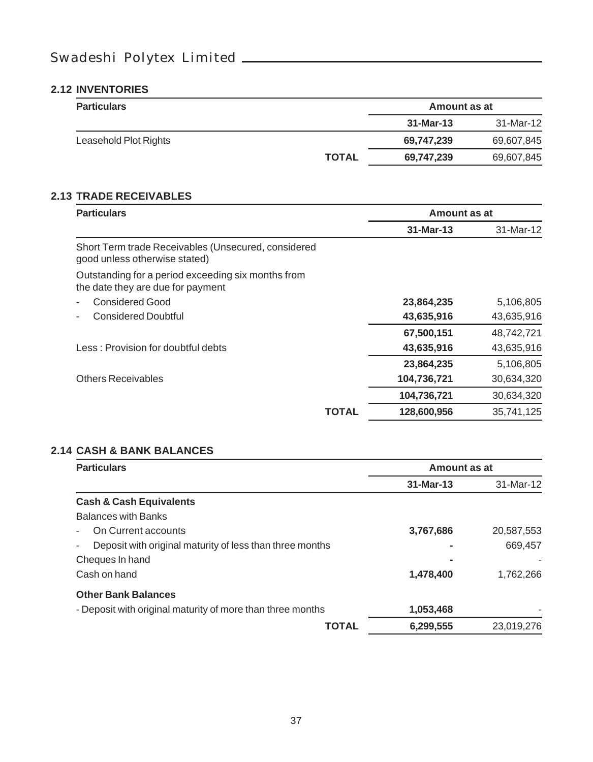#### **2.12 INVENTORIES**

| <b>Particulars</b>    |              | Amount as at |            |
|-----------------------|--------------|--------------|------------|
|                       |              | 31-Mar-13    | 31-Mar-12  |
| Leasehold Plot Rights |              | 69,747,239   | 69,607,845 |
|                       | <b>TOTAL</b> | 69,747,239   | 69,607,845 |

#### **2.13 TRADE RECEIVABLES**

| <b>Particulars</b>                                                                      |       | Amount as at |            |
|-----------------------------------------------------------------------------------------|-------|--------------|------------|
|                                                                                         |       | 31-Mar-13    | 31-Mar-12  |
| Short Term trade Receivables (Unsecured, considered<br>good unless otherwise stated)    |       |              |            |
| Outstanding for a period exceeding six months from<br>the date they are due for payment |       |              |            |
| Considered Good                                                                         |       | 23,864,235   | 5,106,805  |
| <b>Considered Doubtful</b>                                                              |       | 43,635,916   | 43,635,916 |
|                                                                                         |       | 67,500,151   | 48,742,721 |
| Less: Provision for doubtful debts                                                      |       | 43,635,916   | 43,635,916 |
|                                                                                         |       | 23,864,235   | 5,106,805  |
| <b>Others Receivables</b>                                                               |       | 104,736,721  | 30,634,320 |
|                                                                                         |       | 104,736,721  | 30,634,320 |
|                                                                                         | TOTAL | 128,600,956  | 35.741.125 |

#### **2.14 CASH & BANK BALANCES**

| <b>Particulars</b>                                         | Amount as at |            |
|------------------------------------------------------------|--------------|------------|
|                                                            | 31-Mar-13    | 31-Mar-12  |
| <b>Cash &amp; Cash Equivalents</b>                         |              |            |
| <b>Balances with Banks</b>                                 |              |            |
| On Current accounts                                        | 3,767,686    | 20,587,553 |
| Deposit with original maturity of less than three months   |              | 669.457    |
| Cheques In hand                                            |              |            |
| Cash on hand                                               | 1,478,400    | 1.762.266  |
| <b>Other Bank Balances</b>                                 |              |            |
| - Deposit with original maturity of more than three months | 1,053,468    |            |
| TOTAL                                                      | 6,299,555    | 23.019.276 |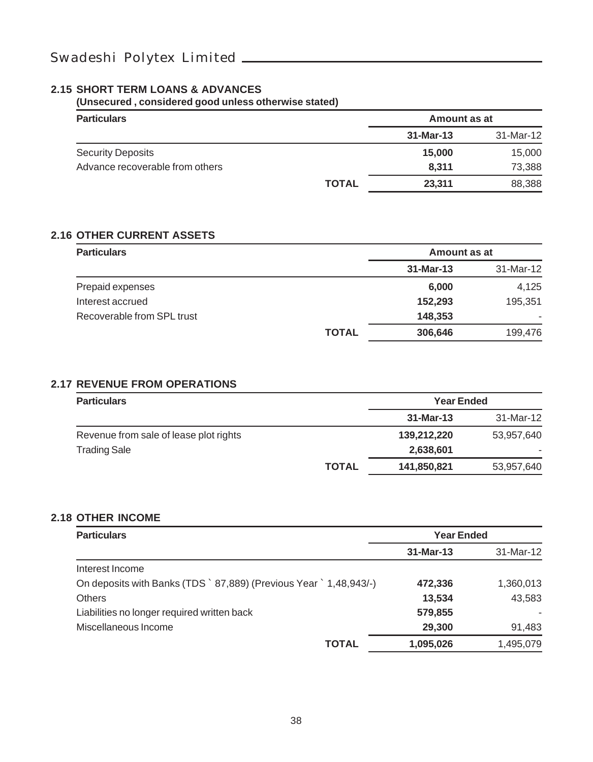#### **2.15 SHORT TERM LOANS & ADVANCES**

**(Unsecured , considered good unless otherwise stated)**

| <b>Particulars</b>              |              | Amount as at |           |
|---------------------------------|--------------|--------------|-----------|
|                                 |              | 31-Mar-13    | 31-Mar-12 |
| <b>Security Deposits</b>        |              | 15,000       | 15,000    |
| Advance recoverable from others |              | 8.311        | 73,388    |
|                                 | <b>TOTAL</b> | 23.311       | 88,388    |

#### **2.16 OTHER CURRENT ASSETS**

| <b>Particulars</b>         |              | Amount as at |           |
|----------------------------|--------------|--------------|-----------|
|                            |              | 31-Mar-13    | 31-Mar-12 |
| Prepaid expenses           |              | 6,000        | 4.125     |
| Interest accrued           |              | 152,293      | 195.351   |
| Recoverable from SPL trust |              | 148,353      |           |
|                            | <b>TOTAL</b> | 306,646      | 199,476   |

#### **2.17 REVENUE FROM OPERATIONS**

| <b>Particulars</b>                     |              | <b>Year Ended</b> |            |
|----------------------------------------|--------------|-------------------|------------|
|                                        |              | 31-Mar-13         | 31-Mar-12  |
| Revenue from sale of lease plot rights |              | 139,212,220       | 53,957,640 |
| <b>Trading Sale</b>                    |              | 2,638,601         |            |
|                                        | <b>TOTAL</b> | 141,850,821       | 53,957,640 |

#### **2.18 OTHER INCOME**

| <b>Particulars</b>                                                         | <b>Year Ended</b> |           |
|----------------------------------------------------------------------------|-------------------|-----------|
|                                                                            | $31-Mar-13$       | 31-Mar-12 |
| Interest Income                                                            |                   |           |
| On deposits with Banks (TDS \cdot 87,889) (Previous Year \cdot 1,48,943/-) | 472.336           | 1,360,013 |
| Others                                                                     | 13.534            | 43,583    |
| Liabilities no longer required written back                                | 579.855           |           |
| Miscellaneous Income                                                       | 29,300            | 91,483    |
| <b>TOTAL</b>                                                               | 1,095,026         | 1.495.079 |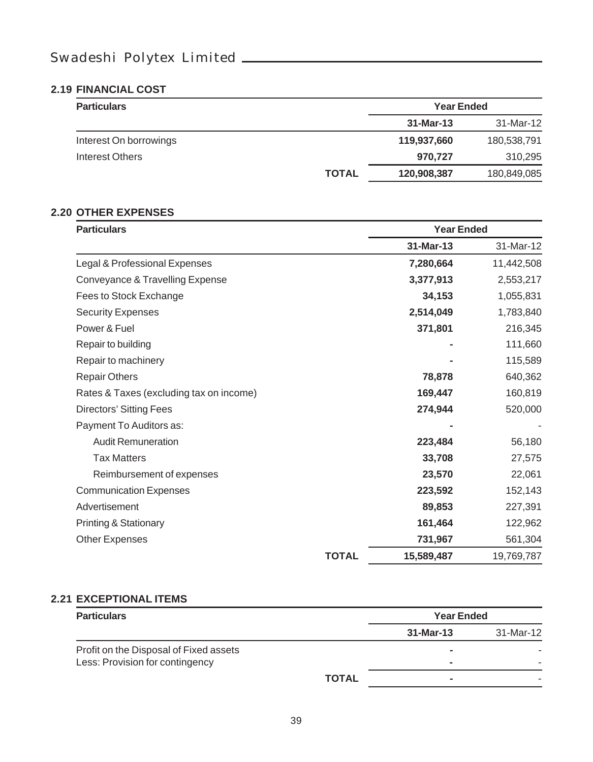#### **2.19 FINANCIAL COST**

| <b>Particulars</b>     |              | <b>Year Ended</b> |             |
|------------------------|--------------|-------------------|-------------|
|                        |              | 31-Mar-13         | 31-Mar-12   |
| Interest On borrowings |              | 119,937,660       | 180,538,791 |
| Interest Others        |              | 970.727           | 310,295     |
|                        | <b>TOTAL</b> | 120,908,387       | 180,849,085 |

#### **2.20 OTHER EXPENSES**

| <b>Particulars</b>                      |              | <b>Year Ended</b> |            |
|-----------------------------------------|--------------|-------------------|------------|
|                                         |              | 31-Mar-13         | 31-Mar-12  |
| Legal & Professional Expenses           |              | 7,280,664         | 11,442,508 |
| Conveyance & Travelling Expense         |              | 3,377,913         | 2,553,217  |
| Fees to Stock Exchange                  |              | 34,153            | 1,055,831  |
| <b>Security Expenses</b>                |              | 2,514,049         | 1,783,840  |
| Power & Fuel                            |              | 371,801           | 216,345    |
| Repair to building                      |              |                   | 111,660    |
| Repair to machinery                     |              |                   | 115,589    |
| <b>Repair Others</b>                    |              | 78,878            | 640,362    |
| Rates & Taxes (excluding tax on income) |              | 169,447           | 160,819    |
| Directors' Sitting Fees                 |              | 274,944           | 520,000    |
| Payment To Auditors as:                 |              |                   |            |
| <b>Audit Remuneration</b>               |              | 223,484           | 56,180     |
| <b>Tax Matters</b>                      |              | 33,708            | 27,575     |
| Reimbursement of expenses               |              | 23,570            | 22,061     |
| <b>Communication Expenses</b>           |              | 223,592           | 152,143    |
| Advertisement                           |              | 89,853            | 227,391    |
| Printing & Stationary                   |              | 161,464           | 122,962    |
| Other Expenses                          |              | 731,967           | 561,304    |
|                                         | <b>TOTAL</b> | 15,589,487        | 19,769,787 |

#### **2.21 EXCEPTIONAL ITEMS**

| <b>Particulars</b>                                                        |              | <b>Year Ended</b> |           |
|---------------------------------------------------------------------------|--------------|-------------------|-----------|
|                                                                           |              | 31-Mar-13         | 31-Mar-12 |
| Profit on the Disposal of Fixed assets<br>Less: Provision for contingency |              | $\sim$            |           |
|                                                                           | <b>TOTAL</b> |                   |           |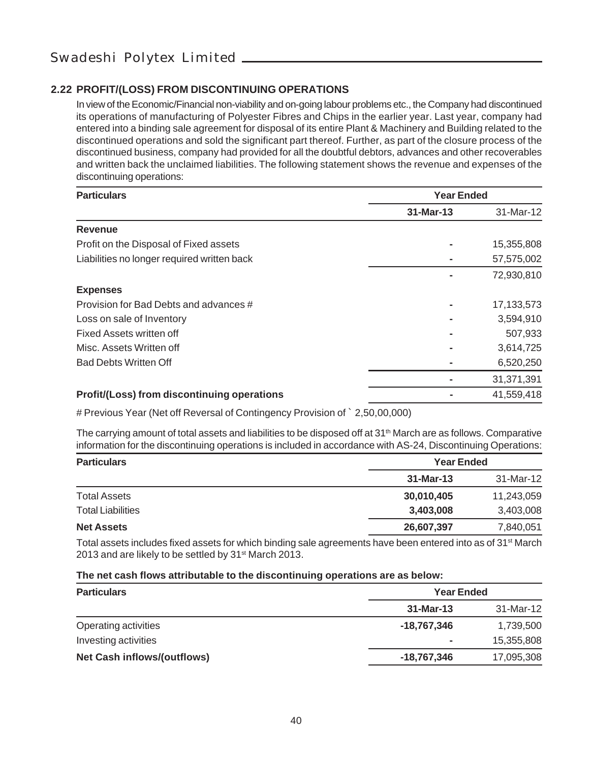#### **2.22 PROFIT/(LOSS) FROM DISCONTINUING OPERATIONS**

In view of the Economic/Financial non-viability and on-going labour problems etc., the Company had discontinued its operations of manufacturing of Polyester Fibres and Chips in the earlier year. Last year, company had entered into a binding sale agreement for disposal of its entire Plant & Machinery and Building related to the discontinued operations and sold the significant part thereof. Further, as part of the closure process of the discontinued business, company had provided for all the doubtful debtors, advances and other recoverables and written back the unclaimed liabilities. The following statement shows the revenue and expenses of the discontinuing operations:

| <b>Particulars</b>                          | <b>Year Ended</b> |            |
|---------------------------------------------|-------------------|------------|
|                                             | 31-Mar-13         | 31-Mar-12  |
| Revenue                                     |                   |            |
| Profit on the Disposal of Fixed assets      |                   | 15,355,808 |
| Liabilities no longer required written back |                   | 57,575,002 |
|                                             |                   | 72,930,810 |
| <b>Expenses</b>                             |                   |            |
| Provision for Bad Debts and advances #      |                   | 17,133,573 |
| Loss on sale of Inventory                   |                   | 3,594,910  |
| Fixed Assets written off                    |                   | 507,933    |
| Misc. Assets Written off                    |                   | 3,614,725  |
| <b>Bad Debts Written Off</b>                |                   | 6,520,250  |
|                                             |                   | 31,371,391 |
| Profit/(Loss) from discontinuing operations |                   | 41.559.418 |

# Previous Year (Net off Reversal of Contingency Provision of ` 2,50,00,000)

The carrying amount of total assets and liabilities to be disposed off at  $31<sup>th</sup>$  March are as follows. Comparative information for the discontinuing operations is included in accordance with AS-24, Discontinuing Operations:

| <b>Particulars</b>       | <b>Year Ended</b> |            |
|--------------------------|-------------------|------------|
|                          | 31-Mar-13         | 31-Mar-12  |
| <b>Total Assets</b>      | 30,010,405        | 11,243,059 |
| <b>Total Liabilities</b> | 3,403,008         | 3,403,008  |
| <b>Net Assets</b>        | 26,607,397        | 7,840,051  |

Total assets includes fixed assets for which binding sale agreements have been entered into as of  $31<sup>st</sup>$  March 2013 and are likely to be settled by 31<sup>st</sup> March 2013.

#### **The net cash flows attributable to the discontinuing operations are as below:**

| <b>Particulars</b>                 | <b>Year Ended</b> |            |
|------------------------------------|-------------------|------------|
|                                    | 31-Mar-13         | 31-Mar-12  |
| Operating activities               | -18.767.346       | 1,739,500  |
| Investing activities               | ۰                 | 15,355,808 |
| <b>Net Cash inflows/(outflows)</b> | -18,767,346       | 17,095,308 |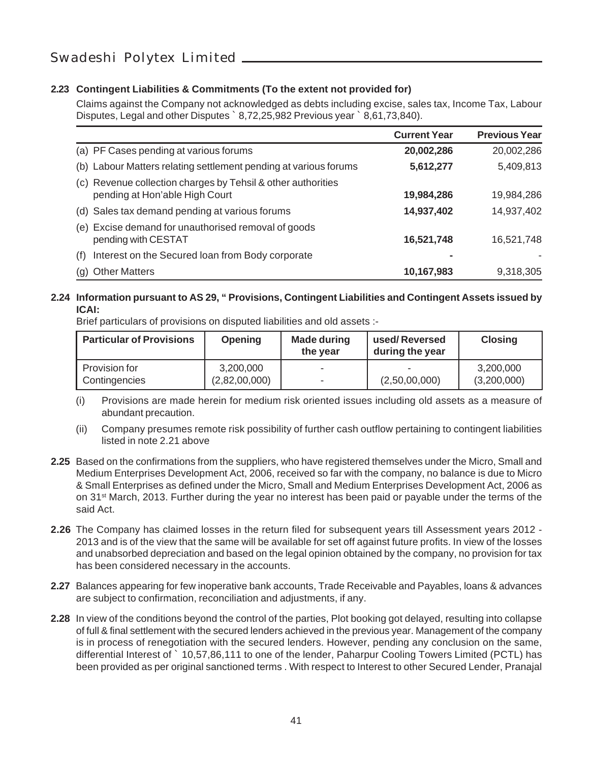#### **2.23 Contingent Liabilities & Commitments (To the extent not provided for)**

Claims against the Company not acknowledged as debts including excise, sales tax, Income Tax, Labour Disputes, Legal and other Disputes ` 8,72,25,982 Previous year ` 8,61,73,840).

|                                                                                                | <b>Current Year</b> | <b>Previous Year</b> |
|------------------------------------------------------------------------------------------------|---------------------|----------------------|
| (a) PF Cases pending at various forums                                                         | 20,002,286          | 20,002,286           |
| (b) Labour Matters relating settlement pending at various forums                               | 5,612,277           | 5,409,813            |
| (c) Revenue collection charges by Tehsil & other authorities<br>pending at Hon'able High Court | 19,984,286          | 19,984,286           |
| (d) Sales tax demand pending at various forums                                                 | 14,937,402          | 14,937,402           |
| (e) Excise demand for unauthorised removal of goods<br>pending with CESTAT                     | 16,521,748          | 16,521,748           |
| Interest on the Secured loan from Body corporate<br>(f)                                        |                     |                      |
| (g) Other Matters                                                                              | 10,167,983          | 9,318,305            |

#### **2.24 Information pursuant to AS 29, " Provisions, Contingent Liabilities and Contingent Assets issued by ICAI:**

Brief particulars of provisions on disputed liabilities and old assets :-

| <b>Particular of Provisions</b> | <b>Opening</b>             | <b>Made during</b><br>the year | used/Reversed<br>during the year | <b>Closing</b>           |
|---------------------------------|----------------------------|--------------------------------|----------------------------------|--------------------------|
| Provision for<br>Contingencies  | 3,200,000<br>(2,82,00,000) | $\overline{\phantom{0}}$       | (2,50,00,000)                    | 3,200,000<br>(3,200,000) |

- (i) Provisions are made herein for medium risk oriented issues including old assets as a measure of abundant precaution.
- (ii) Company presumes remote risk possibility of further cash outflow pertaining to contingent liabilities listed in note 2.21 above
- **2.25** Based on the confirmations from the suppliers, who have registered themselves under the Micro, Small and Medium Enterprises Development Act, 2006, received so far with the company, no balance is due to Micro & Small Enterprises as defined under the Micro, Small and Medium Enterprises Development Act, 2006 as on 31st March, 2013. Further during the year no interest has been paid or payable under the terms of the said Act.
- **2.26** The Company has claimed losses in the return filed for subsequent years till Assessment years 2012 2013 and is of the view that the same will be available for set off against future profits. In view of the losses and unabsorbed depreciation and based on the legal opinion obtained by the company, no provision for tax has been considered necessary in the accounts.
- **2.27** Balances appearing for few inoperative bank accounts, Trade Receivable and Payables, loans & advances are subject to confirmation, reconciliation and adjustments, if any.
- **2.28** In view of the conditions beyond the control of the parties, Plot booking got delayed, resulting into collapse of full & final settlement with the secured lenders achieved in the previous year. Management of the company is in process of renegotiation with the secured lenders. However, pending any conclusion on the same, differential Interest of ` 10,57,86,111 to one of the lender, Paharpur Cooling Towers Limited (PCTL) has been provided as per original sanctioned terms . With respect to Interest to other Secured Lender, Pranajal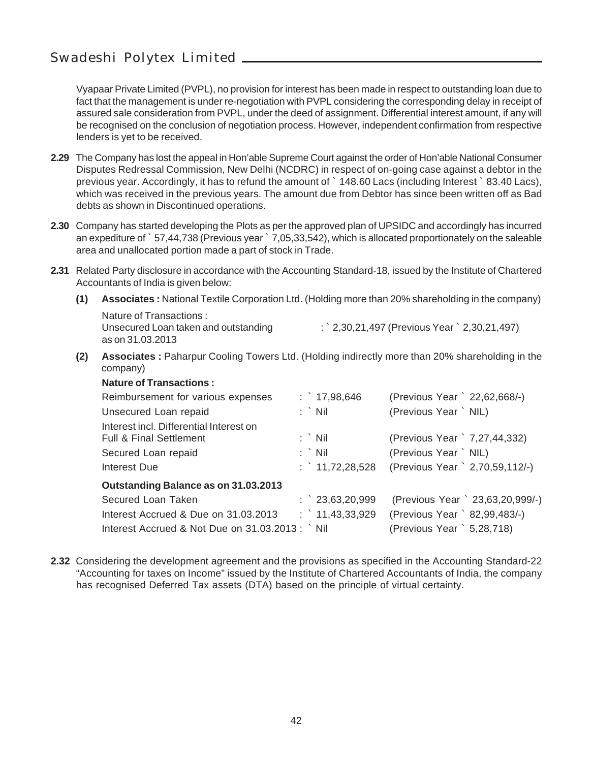Vyapaar Private Limited (PVPL), no provision for interest has been made in respect to outstanding loan due to fact that the management is under re-negotiation with PVPL considering the corresponding delay in receipt of assured sale consideration from PVPL, under the deed of assignment. Differential interest amount, if any will be recognised on the conclusion of negotiation process. However, independent confirmation from respective lenders is yet to be received.

- **2.29** The Company has lost the appeal in Hon'able Supreme Court against the order of Hon'able National Consumer Disputes Redressal Commission, New Delhi (NCDRC) in respect of on-going case against a debtor in the previous year. Accordingly, it has to refund the amount of ` 148.60 Lacs (including Interest ` 83.40 Lacs), which was received in the previous years. The amount due from Debtor has since been written off as Bad debts as shown in Discontinued operations.
- **2.30** Company has started developing the Plots as per the approved plan of UPSIDC and accordingly has incurred an expediture of ` 57,44,738 (Previous year ` 7,05,33,542), which is allocated proportionately on the saleable area and unallocated portion made a part of stock in Trade.
- **2.31** Related Party disclosure in accordance with the Accounting Standard-18, issued by the Institute of Chartered Accountants of India is given below:
	- **(1) Associates :** National Textile Corporation Ltd. (Holding more than 20% shareholding in the company)

Nature of Transactions : as on 31.03.2013

Unsecured Loan taken and outstanding  $\qquad \qquad$ : ` 2,30,21,497 (Previous Year ` 2,30,21,497)

**(2) Associates :** Paharpur Cooling Towers Ltd. (Holding indirectly more than 20% shareholding in the company)

| <b>Nature of Transactions:</b>                             |                  |                                  |
|------------------------------------------------------------|------------------|----------------------------------|
| Reimbursement for various expenses                         | : $17,98,646$    | (Previous Year ` 22,62,668/-)    |
| Unsecured Loan repaid                                      | : `Nil           | (Previous Year ` NIL)            |
| Interest incl. Differential Interest on                    |                  |                                  |
| <b>Full &amp; Final Settlement</b>                         | $:$ Nil          | (Previous Year ` 7,27,44,332)    |
| Secured Loan repaid                                        | $:$ Nil          | (Previous Year ` NIL)            |
| Interest Due                                               | : $11,72,28,528$ | (Previous Year ` 2,70,59,112/-)  |
| Outstanding Balance as on 31.03.2013                       |                  |                                  |
| Secured Loan Taken                                         | $:$ 23,63,20,999 | (Previous Year ` 23,63,20,999/-) |
| Interest Accrued & Due on 31,03,2013                       | $:$ 11,43,33,929 | (Previous Year ` 82,99,483/-)    |
| Interest Accrued & Not Due on $31.03.2013$ : $\dot{ }$ Nil |                  | (Previous Year ` 5,28,718)       |

**2.32** Considering the development agreement and the provisions as specified in the Accounting Standard-22 "Accounting for taxes on Income" issued by the Institute of Chartered Accountants of India, the company has recognised Deferred Tax assets (DTA) based on the principle of virtual certainty.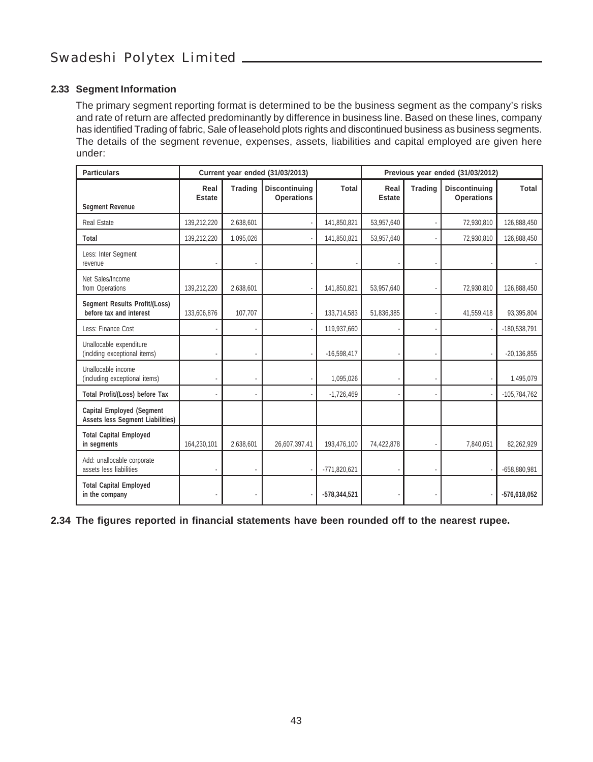#### **2.33 Segment Information**

The primary segment reporting format is determined to be the business segment as the company's risks and rate of return are affected predominantly by difference in business line. Based on these lines, company has identified Trading of fabric, Sale of leasehold plots rights and discontinued business as business segments. The details of the segment revenue, expenses, assets, liabilities and capital employed are given here under:

| <b>Particulars</b>                                                          | Current year ended (31/03/2013) |                | Previous year ended (31/03/2012)   |                |                       |         |                                           |                |
|-----------------------------------------------------------------------------|---------------------------------|----------------|------------------------------------|----------------|-----------------------|---------|-------------------------------------------|----------------|
| <b>Segment Revenue</b>                                                      | Real<br><b>Estate</b>           | <b>Trading</b> | Discontinuing<br><b>Operations</b> | Total          | Real<br><b>Estate</b> | Trading | <b>Discontinuing</b><br><b>Operations</b> | Total          |
| Real Estate                                                                 | 139,212,220                     | 2.638.601      |                                    | 141.850.821    | 53,957,640            |         | 72.930.810                                | 126.888.450    |
| Total                                                                       | 139,212,220                     | 1,095,026      |                                    | 141,850,821    | 53,957,640            |         | 72,930,810                                | 126,888,450    |
| Less: Inter Segment<br>revenue                                              |                                 |                |                                    |                |                       |         |                                           |                |
| Net Sales/Income<br>from Operations                                         | 139,212,220                     | 2,638,601      |                                    | 141,850,821    | 53,957,640            |         | 72,930,810                                | 126,888,450    |
| Segment Results Profit/(Loss)<br>before tax and interest                    | 133,606,876                     | 107,707        |                                    | 133,714,583    | 51,836,385            |         | 41,559,418                                | 93,395,804     |
| Less: Finance Cost                                                          |                                 |                |                                    | 119.937.660    |                       |         |                                           | $-180,538,791$ |
| Unallocable expenditure<br>(inclding exceptional items)                     |                                 |                |                                    | $-16,598,417$  |                       |         |                                           | $-20.136.855$  |
| Unallocable income<br>(including exceptional items)                         |                                 |                |                                    | 1.095.026      |                       |         |                                           | 1,495,079      |
| Total Profit/(Loss) before Tax                                              |                                 |                |                                    | $-1,726,469$   |                       |         |                                           | $-105,784,762$ |
| <b>Capital Employed (Segment</b><br><b>Assets less Segment Liabilities)</b> |                                 |                |                                    |                |                       |         |                                           |                |
| <b>Total Capital Employed</b><br>in segments                                | 164,230,101                     | 2,638,601      | 26,607,397.41                      | 193,476,100    | 74,422,878            |         | 7,840,051                                 | 82,262,929     |
| Add: unallocable corporate<br>assets less liabilities                       |                                 |                |                                    | $-771,820,621$ |                       |         |                                           | $-658,880,981$ |
| <b>Total Capital Employed</b><br>in the company                             |                                 |                |                                    | $-578,344,521$ |                       |         |                                           | $-576,618,052$ |

**2.34 The figures reported in financial statements have been rounded off to the nearest rupee.**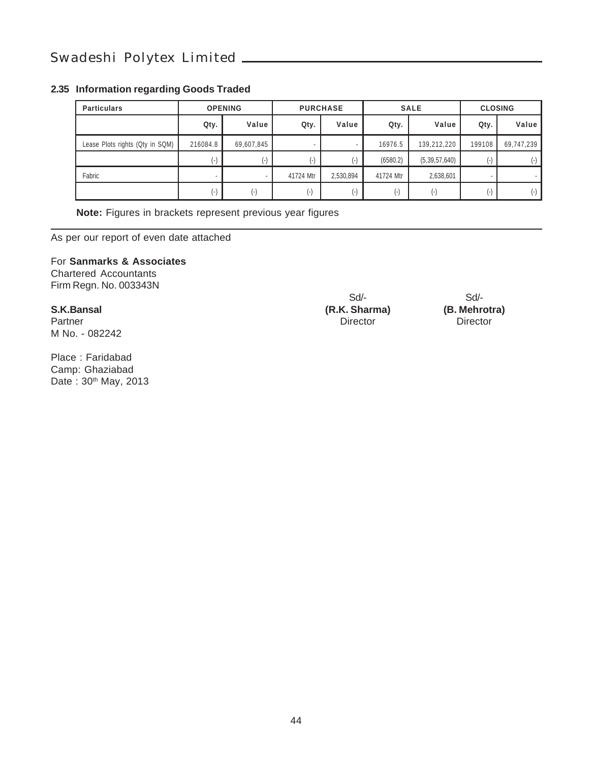#### **2.35 Information regarding Goods Traded**

| <b>Particulars</b>              | <b>OPENING</b>     |                    | <b>PURCHASE</b> |                |           | <b>SALE</b>      | <b>CLOSING</b> |            |
|---------------------------------|--------------------|--------------------|-----------------|----------------|-----------|------------------|----------------|------------|
|                                 | Qty.               | Value              | Qty.            | Value          | Qty.      | Value            | Qty.           | Value      |
| Lease Plots rights (Qty in SQM) | 216084.8           | 69,607,845         | ٠               |                | 16976.5   | 139,212,220      | 199108         | 69,747,239 |
|                                 | (-)                | $(-)$              |                 | $\overline{ }$ | (6580.2)  | (5, 39, 57, 640) | $(-)$          |            |
| Fabric                          |                    |                    | 41724 Mtr       | 2,530,894      | 41724 Mtr | 2,638,601        |                |            |
|                                 | $(\textnormal{-})$ | $(\textnormal{-})$ | ۱-۱             | $\overline{ }$ | $(-)$     | $(\cdot)$        | $(\cdot)$      |            |

**Note:** Figures in brackets represent previous year figures

As per our report of even date attached

#### For **Sanmarks & Associates**

Chartered Accountants Firm Regn. No. 003343N

Partner Director Director Director Director Director Director Director Director M No. - 082242

Place : Faridabad Camp: Ghaziabad Date: 30<sup>th</sup> May, 2013

**S.K.Bansal (R.K. Sharma) (B. Mehroti**<br>
Partner **Director Director Director Director** 

Sd/-<br>
Sharma) (B. Mehrotra)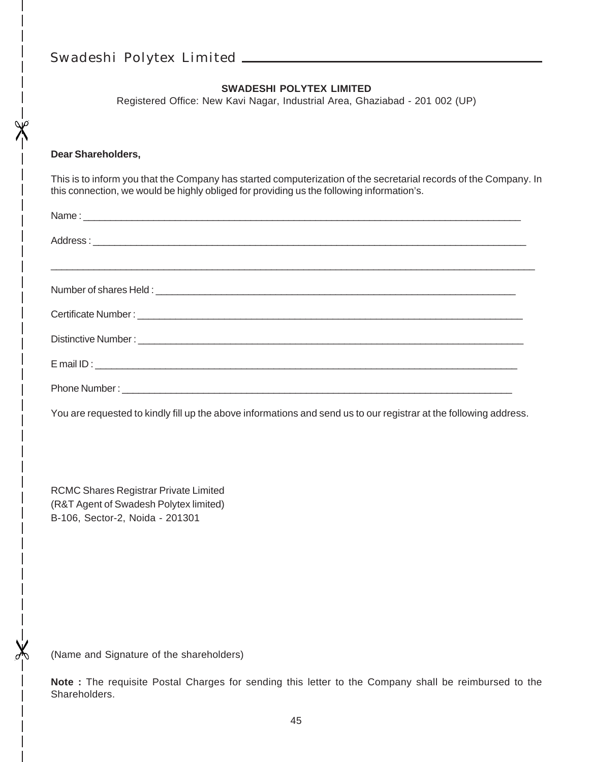#### **SWADESHI POLYTEX LIMITED**

Registered Office: New Kavi Nagar, Industrial Area, Ghaziabad - 201 002 (UP)

#### **Dear Shareholders,**

This is to inform you that the Company has started computerization of the secretarial records of the Company. In this connection, we would be highly obliged for providing us the following information's.

| Distinctive Number: Law and Contract the Contract of the Contract of the Contract of the Contract of the Contract of the Contract of the Contract of the Contract of the Contract of the Contract of the Contract of the Contr |
|--------------------------------------------------------------------------------------------------------------------------------------------------------------------------------------------------------------------------------|
|                                                                                                                                                                                                                                |
|                                                                                                                                                                                                                                |

You are requested to kindly fill up the above informations and send us to our registrar at the following address.

RCMC Shares Registrar Private Limited (R&T Agent of Swadesh Polytex limited) B-106, Sector-2, Noida - 201301

(Name and Signature of the shareholders)

**Note :** The requisite Postal Charges for sending this letter to the Company shall be reimbursed to the Shareholders.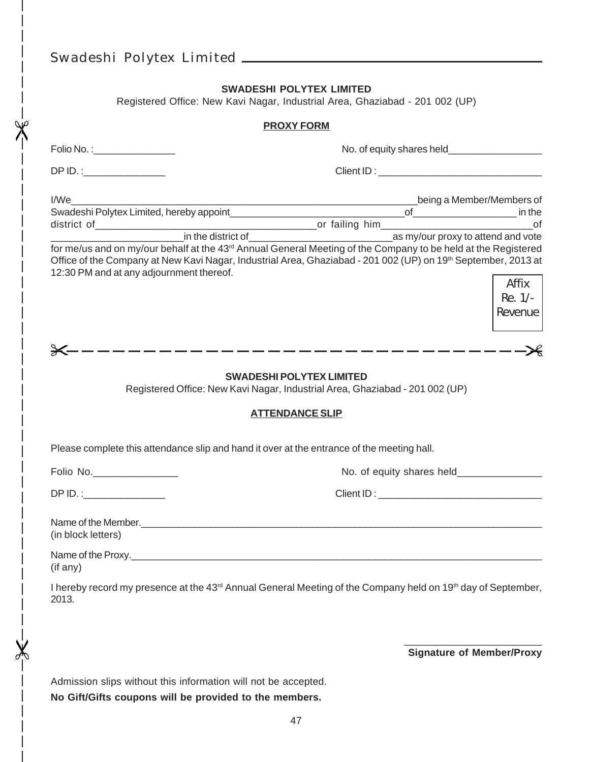#### **SWADESHI POLYTEX LIMITED**

Registered Office: New Kavi Nagar, Industrial Area, Ghaziabad - 201 002 (UP)

#### **PROXY FORM**

| Folio No. : __________________                                                                                                                                                                                                                        |                                                                                                                                                                                                                                |
|-------------------------------------------------------------------------------------------------------------------------------------------------------------------------------------------------------------------------------------------------------|--------------------------------------------------------------------------------------------------------------------------------------------------------------------------------------------------------------------------------|
|                                                                                                                                                                                                                                                       |                                                                                                                                                                                                                                |
| I/We<br>Office of the Company at New Kavi Nagar, Industrial Area, Ghaziabad - 201 002 (UP) on 19th September, 2013 at<br>12:30 PM and at any adjournment thereof.                                                                                     | being a Member/Members of<br>Affix<br>Re. 1/-<br>Revenue                                                                                                                                                                       |
|                                                                                                                                                                                                                                                       |                                                                                                                                                                                                                                |
| <b>SWADESHI POLYTEX LIMITED</b><br>Registered Office: New Kavi Nagar, Industrial Area, Ghaziabad - 201 002 (UP)                                                                                                                                       |                                                                                                                                                                                                                                |
| <b>ATTENDANCE SLIP</b>                                                                                                                                                                                                                                |                                                                                                                                                                                                                                |
| Please complete this attendance slip and hand it over at the entrance of the meeting hall.                                                                                                                                                            |                                                                                                                                                                                                                                |
| Folio No.________________                                                                                                                                                                                                                             | No. of equity shares held_________________                                                                                                                                                                                     |
| $DPID.$ :                                                                                                                                                                                                                                             | Client ID: Note and the state of the state of the state of the state of the state of the state of the state of the state of the state of the state of the state of the state of the state of the state of the state of the sta |
| Name of the Member.<br>and the Member of the Member of the Member of the Members of the Members of the Members of the Members of the<br>(in block letters)                                                                                            |                                                                                                                                                                                                                                |
| Name of the Proxy. <u>Contract the Contract of the Proxy</u> Contract of the Contract of the Contract of the Contract of the Contract of the Contract of the Contract of the Contract of the Contract of the Contract of the Contra<br>$($ if any $)$ |                                                                                                                                                                                                                                |
| I hereby record my presence at the 43 <sup>rd</sup> Annual General Meeting of the Company held on 19 <sup>th</sup> day of September,<br>2013.                                                                                                         |                                                                                                                                                                                                                                |
|                                                                                                                                                                                                                                                       | <b>Signature of Member/Proxy</b>                                                                                                                                                                                               |

Admission slips without this information will not be accepted. **No Gift/Gifts coupons will be provided to the members.**